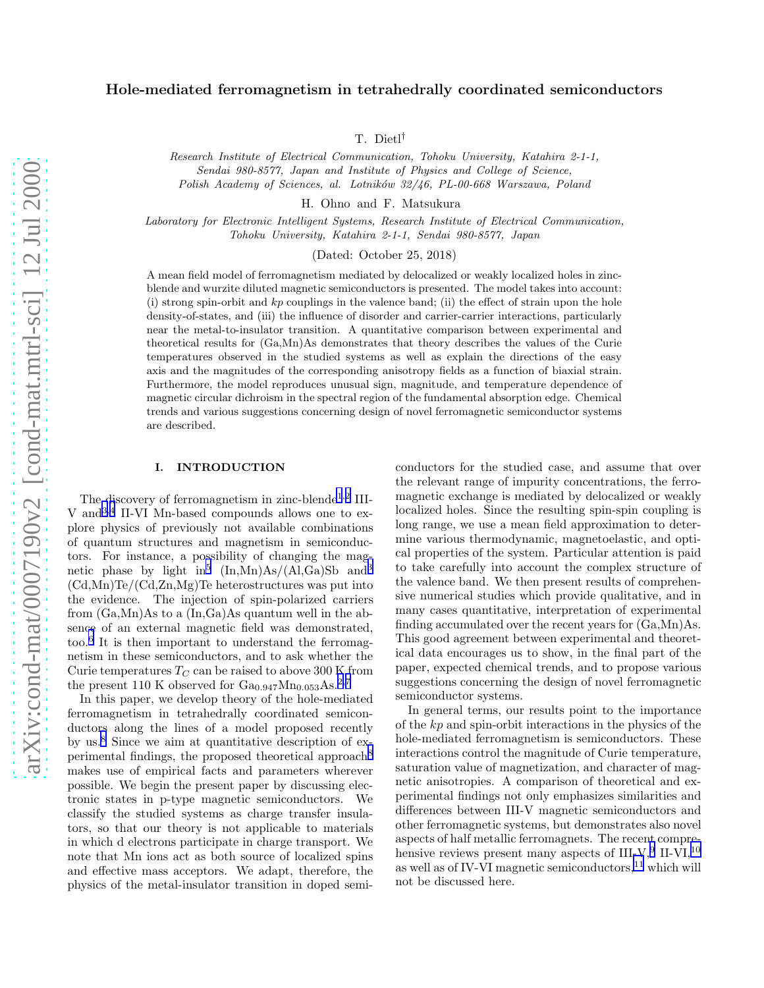# Hole-mediated ferromagnetism in tetrahedrally coordinated semiconductors

T. Dietl†

Research Institute of Electrical Communication, Tohoku University, Katahira 2-1-1, Sendai 980-8577, Japan and Institute of Physics and College of Science, Polish Academy of Sciences, al. Lotników 32/46, PL-00-668 Warszawa, Poland

H. Ohno and F. Matsukura

Laboratory for Electronic Intelligent Systems, Research Institute of Electrical Communication, Tohoku University, Katahira 2-1-1, Sendai 980-8577, Japan

(Dated: October 25, 2018)

A mean field model of ferromagnetism mediated by delocalized or weakly localized holes in zincblende and wurzite diluted magnetic semiconductors is presented. The model takes into account: (i) strong spin-orbit and  $kp$  couplings in the valence band; (ii) the effect of strain upon the hole density-of-states, and (iii) the influence of disorder and carrier-carrier interactions, particularly near the metal-to-insulator transition. A quantitative comparison between experimental and theoretical results for (Ga,Mn)As demonstrates that theory describes the values of the Curie temperatures observed in the studied systems as well as explain the directions of the easy axis and the magnitudes of the corresponding anisotropy fields as a function of biaxial strain. Furthermore, the model reproduces unusual sign, magnitude, and temperature dependence of magnetic circular dichroism in the spectral region of the fundamental absorption edge. Chemical trends and various suggestions concerning design of novel ferromagnetic semiconductor systems are described.

#### I. INTRODUCTION

The discovery of ferromagnetism in zinc-blende<sup>[1](#page-22-0),[2](#page-22-0)</sup> III-V and[3,4](#page-22-0) II-VI Mn-based compounds allows one to explore physics of previously not available combinations of quantum structures and magnetism in semiconductors. For instance, a possibility of changing the mag-netic phase by light in<sup>[5](#page-22-0)</sup>  $(In, Mn)As/(Al, Ga)Sb$  and<sup>[3](#page-22-0)</sup> (Cd,Mn)Te/(Cd,Zn,Mg)Te heterostructures was put into the evidence. The injection of spin-polarized carriers from (Ga,Mn)As to a (In,Ga)As quantum well in the absence of an external magnetic field was demonstrated, too.[6](#page-22-0) It is then important to understand the ferromagnetism in these semiconductors, and to ask whether the Curie temperatures  $T_C$  can be raised to above 300 K from the present 110 K observed for  $Ga_{0.947}Mn_{0.053}As.^{2,7}$  $Ga_{0.947}Mn_{0.053}As.^{2,7}$  $Ga_{0.947}Mn_{0.053}As.^{2,7}$ 

In this paper, we develop theory of the hole-mediated ferromagnetism in tetrahedrally coordinated semiconductors along the lines of a model proposed recently by us.[8](#page-22-0) Since we aim at quantitative description of ex-perimental findings, the proposed theoretical approach<sup>[8](#page-22-0)</sup> makes use of empirical facts and parameters wherever possible. We begin the present paper by discussing electronic states in p-type magnetic semiconductors. We classify the studied systems as charge transfer insulators, so that our theory is not applicable to materials in which d electrons participate in charge transport. We note that Mn ions act as both source of localized spins and effective mass acceptors. We adapt, therefore, the physics of the metal-insulator transition in doped semi-

conductors for the studied case, and assume that over the relevant range of impurity concentrations, the ferromagnetic exchange is mediated by delocalized or weakly localized holes. Since the resulting spin-spin coupling is long range, we use a mean field approximation to determine various thermodynamic, magnetoelastic, and optical properties of the system. Particular attention is paid to take carefully into account the complex structure of the valence band. We then present results of comprehensive numerical studies which provide qualitative, and in many cases quantitative, interpretation of experimental finding accumulated over the recent years for (Ga,Mn)As. This good agreement between experimental and theoretical data encourages us to show, in the final part of the paper, expected chemical trends, and to propose various suggestions concerning the design of novel ferromagnetic semiconductor systems.

In general terms, our results point to the importance of the kp and spin-orbit interactions in the physics of the hole-mediated ferromagnetism is semiconductors. These interactions control the magnitude of Curie temperature, saturation value of magnetization, and character of magnetic anisotropies. A comparison of theoretical and experimental findings not only emphasizes similarities and differences between III-V magnetic semiconductors and other ferromagnetic systems, but demonstrates also novel aspects of half metallic ferromagnets. The recent comprehensive reviews present many aspects of  $III-V$ ,<sup>[9](#page-22-0)</sup> II-VI,<sup>[10](#page-22-0)</sup> as well as of IV-VI magnetic semiconductors, $^{11}$  $^{11}$  $^{11}$  which will not be discussed here.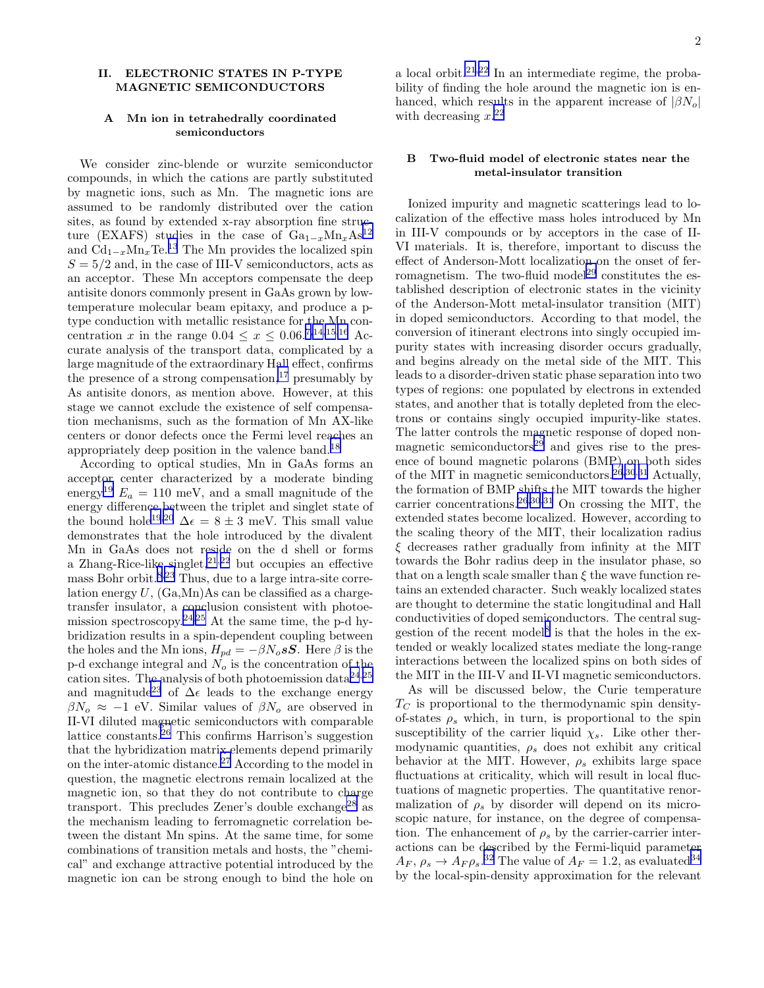#### <span id="page-1-0"></span>II. ELECTRONIC STATES IN P-TYPE MAGNETIC SEMICONDUCTORS

## A Mn ion in tetrahedrally coordinated semiconductors

We consider zinc-blende or wurzite semiconductor compounds, in which the cations are partly substituted by magnetic ions, such as Mn. The magnetic ions are assumed to be randomly distributed over the cation sites, as found by extended x-ray absorption fine structure (EXAFS) studies in the case of  $Ga_{1-x}Mn_xAs^{12}$  $Ga_{1-x}Mn_xAs^{12}$  $Ga_{1-x}Mn_xAs^{12}$ and  $\hat{Cd}_{1-x}\hat{Mn_x}\text{Te.}^{13}$  $\hat{Cd}_{1-x}\hat{Mn_x}\text{Te.}^{13}$  $\hat{Cd}_{1-x}\hat{Mn_x}\text{Te.}^{13}$  The Mn provides the localized spin  $S = 5/2$  and, in the case of III-V semiconductors, acts as an acceptor. These Mn acceptors compensate the deep antisite donors commonly present in GaAs grown by lowtemperature molecular beam epitaxy, and produce a ptype conduction with metallic resistance for the Mn concentration x in the range  $0.04 \le x \le 0.06^{7,14,15,16}$  $0.04 \le x \le 0.06^{7,14,15,16}$  $0.04 \le x \le 0.06^{7,14,15,16}$  Accurate analysis of the transport data, complicated by a large magnitude of the extraordinary Hall effect, confirms the presence of a strong compensation,  $17$  presumably by As antisite donors, as mention above. However, at this stage we cannot exclude the existence of self compensation mechanisms, such as the formation of Mn AX-like centers or donor defects once the Fermi level reaches an appropriately deep position in the valence band.[18](#page-22-0)

According to optical studies, Mn in GaAs forms an acceptor center characterized by a moderate binding energy<sup>[19](#page-22-0)</sup>  $E_a = 110$  meV, and a small magnitude of the energy difference between the triplet and singlet state of the bound hole<sup>[19,20](#page-22-0)</sup>  $\Delta \epsilon = 8 \pm 3$  meV. This small value demonstrates that the hole introduced by the divalent Mn in GaAs does not reside on the d shell or forms a Zhang-Rice-like singlet, $2^{1,22}$  $2^{1,22}$  $2^{1,22}$  but occupies an effective mass Bohr orbit.[8,23](#page-22-0) Thus, due to a large intra-site correlation energy  $U$ ,  $(Ga, Mn)As$  can be classified as a chargetransfer insulator, a conclusion consistent with photoe-mission spectroscopy.<sup>[24,25](#page-22-0)</sup> At the same time, the p-d hybridization results in a spin-dependent coupling between the holes and the Mn ions,  $H_{pd}=-\beta N_o s\mathbf{S}.$  Here  $\beta$  is the p-d exchange integral and  $N_o$  is the concentration of the cation sites. The analysis of both photoemission data<sup>[24](#page-22-0),[25](#page-22-0)</sup> and magnitude<sup>[23](#page-22-0)</sup> of  $\Delta \epsilon$  leads to the exchange energy  $\beta N_o \approx -1$  eV. Similar values of  $\beta N_o$  are observed in II-VI diluted magnetic semiconductors with comparable lattice constants. $26$  This confirms Harrison's suggestion that the hybridization matrix elements depend primarily on the inter-atomic distance.[27](#page-22-0) According to the model in question, the magnetic electrons remain localized at the magnetic ion, so that they do not contribute to charge transport. This precludes Zener's double exchange<sup>[28](#page-22-0)</sup> as the mechanism leading to ferromagnetic correlation between the distant Mn spins. At the same time, for some combinations of transition metals and hosts, the "chemical" and exchange attractive potential introduced by the magnetic ion can be strong enough to bind the hole on 2

a local orbit. $2^{1,22}$  $2^{1,22}$  $2^{1,22}$  In an intermediate regime, the probability of finding the hole around the magnetic ion is enhanced, which results in the apparent increase of  $|\beta N_o|$ with decreasing  $x.^{22}$  $x.^{22}$  $x.^{22}$ 

# B Two-fluid model of electronic states near the metal-insulator transition

Ionized impurity and magnetic scatterings lead to localization of the effective mass holes introduced by Mn in III-V compounds or by acceptors in the case of II-VI materials. It is, therefore, important to discuss the effect of Anderson-Mott localization on the onset of fer-romagnetism. The two-fluid model<sup>[29](#page-22-0)</sup> constitutes the established description of electronic states in the vicinity of the Anderson-Mott metal-insulator transition (MIT) in doped semiconductors. According to that model, the conversion of itinerant electrons into singly occupied impurity states with increasing disorder occurs gradually, and begins already on the metal side of the MIT. This leads to a disorder-driven static phase separation into two types of regions: one populated by electrons in extended states, and another that is totally depleted from the electrons or contains singly occupied impurity-like states. The latter controls the magnetic response of doped nonmagnetic semiconductors $^{29}$  $^{29}$  $^{29}$  and gives rise to the presence of bound magnetic polarons (BMP) on both sides of the MIT in magnetic semiconductors.<sup>[26,30](#page-22-0),[31](#page-22-0)</sup> Actually, the formation of BMP shifts the MIT towards the higher carrier concentrations.<sup>[26,30,31](#page-22-0)</sup> On crossing the MIT, the extended states become localized. However, according to the scaling theory of the MIT, their localization radius ξ decreases rather gradually from infinity at the MIT towards the Bohr radius deep in the insulator phase, so that on a length scale smaller than  $\xi$  the wave function retains an extended character. Such weakly localized states are thought to determine the static longitudinal and Hall conductivities of doped semiconductors. The central sug-gestion of the recent model<sup>[8](#page-22-0)</sup> is that the holes in the extended or weakly localized states mediate the long-range interactions between the localized spins on both sides of the MIT in the III-V and II-VI magnetic semiconductors.

As will be discussed below, the Curie temperature  $T_{\text{C}}$  is proportional to the thermodynamic spin densityof-states  $\rho_s$  which, in turn, is proportional to the spin susceptibility of the carrier liquid  $\chi_s$ . Like other thermodynamic quantities,  $\rho_s$  does not exhibit any critical behavior at the MIT. However,  $\rho_s$  exhibits large space fluctuations at criticality, which will result in local fluctuations of magnetic properties. The quantitative renormalization of  $\rho_s$  by disorder will depend on its microscopic nature, for instance, on the degree of compensation. The enhancement of  $\rho_s$  by the carrier-carrier interactions can be described by the Fermi-liquid parameter  $A_F, \rho_s \to A_F \rho_s$ .<sup>[32](#page-22-0)</sup> The value of  $A_F = 1.2$ , as evaluated<sup>[34](#page-22-0)</sup> by the local-spin-density approximation for the relevant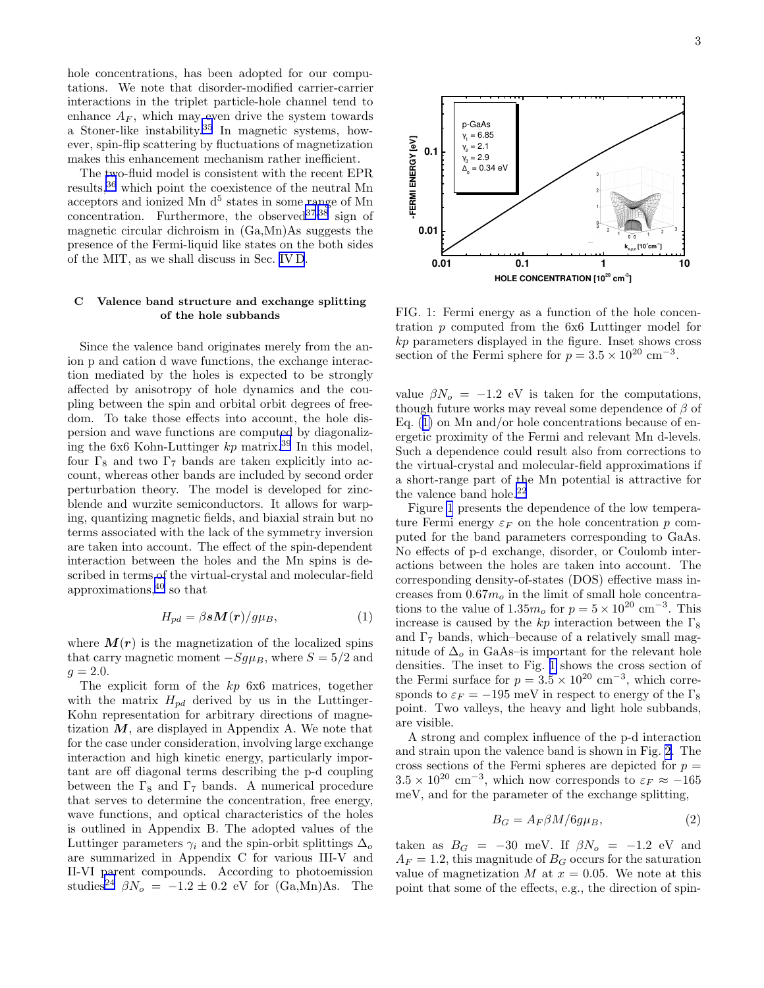<span id="page-2-0"></span>hole concentrations, has been adopted for our computations. We note that disorder-modified carrier-carrier interactions in the triplet particle-hole channel tend to enhance  $A_F$ , which may even drive the system towards a Stoner-like instability.[35](#page-22-0) In magnetic systems, however, spin-flip scattering by fluctuations of magnetization makes this enhancement mechanism rather inefficient.

The two-fluid model is consistent with the recent EPR results,[36](#page-22-0) which point the coexistence of the neutral Mn acceptors and ionized Mn  $d^5$  states in some range of Mn concentration. Furthermore, the observed  $37,38$  sign of magnetic circular dichroism in (Ga,Mn)As suggests the presence of the Fermi-liquid like states on the both sides of the MIT, as we shall discuss in Sec. [IV D](#page-10-0).

#### C Valence band structure and exchange splitting of the hole subbands

Since the valence band originates merely from the anion p and cation d wave functions, the exchange interaction mediated by the holes is expected to be strongly affected by anisotropy of hole dynamics and the coupling between the spin and orbital orbit degrees of freedom. To take those effects into account, the hole dispersion and wave functions are computed by diagonalizing the 6x6 Kohn-Luttinger  $kp$  matrix.<sup>[39](#page-22-0)</sup> In this model, four  $\Gamma_8$  and two  $\Gamma_7$  bands are taken explicitly into account, whereas other bands are included by second order perturbation theory. The model is developed for zincblende and wurzite semiconductors. It allows for warping, quantizing magnetic fields, and biaxial strain but no terms associated with the lack of the symmetry inversion are taken into account. The effect of the spin-dependent interaction between the holes and the Mn spins is described in terms of the virtual-crystal and molecular-field approximations,[40](#page-22-0) so that

$$
H_{pd} = \beta s \mathbf{M}(\mathbf{r}) / g \mu_B,\tag{1}
$$

where  $M(r)$  is the magnetization of the localized spins that carry magnetic moment  $-Sg\mu_B$ , where  $S = 5/2$  and  $g = 2.0.$ 

The explicit form of the kp 6x6 matrices, together with the matrix  $H_{pd}$  derived by us in the Luttinger-Kohn representation for arbitrary directions of magnetization  $M$ , are displayed in Appendix A. We note that for the case under consideration, involving large exchange interaction and high kinetic energy, particularly important are off diagonal terms describing the p-d coupling between the  $\Gamma_8$  and  $\Gamma_7$  bands. A numerical procedure that serves to determine the concentration, free energy, wave functions, and optical characteristics of the holes is outlined in Appendix B. The adopted values of the Luttinger parameters  $\gamma_i$  and the spin-orbit splittings  $\Delta_o$ are summarized in Appendix C for various III-V and II-VI parent compounds. According to photoemission studies<sup>[24](#page-22-0)</sup>  $\beta N_o = -1.2 \pm 0.2$  eV for (Ga,Mn)As. The



FIG. 1: Fermi energy as a function of the hole concentration p computed from the 6x6 Luttinger model for kp parameters displayed in the figure. Inset shows cross section of the Fermi sphere for  $p = 3.5 \times 10^{20}$  cm<sup>-3</sup>.

value  $\beta N_o = -1.2$  eV is taken for the computations, though future works may reveal some dependence of  $\beta$  of Eq. (1) on Mn and/or hole concentrations because of energetic proximity of the Fermi and relevant Mn d-levels. Such a dependence could result also from corrections to the virtual-crystal and molecular-field approximations if a short-range part of the Mn potential is attractive for the valence band hole. $^{22}$  $^{22}$  $^{22}$ 

Figure 1 presents the dependence of the low temperature Fermi energy  $\varepsilon_F$  on the hole concentration p computed for the band parameters corresponding to GaAs. No effects of p-d exchange, disorder, or Coulomb interactions between the holes are taken into account. The corresponding density-of-states (DOS) effective mass increases from  $0.67m<sub>o</sub>$  in the limit of small hole concentrations to the value of  $1.35m_o$  for  $p = 5 \times 10^{20}$  cm<sup>-3</sup>. This increase is caused by the kp interaction between the  $\Gamma_8$ and  $\Gamma$ <sub>7</sub> bands, which–because of a relatively small magnitude of  $\Delta_o$  in GaAs–is important for the relevant hole densities. The inset to Fig. 1 shows the cross section of the Fermi surface for  $p = 3.5 \times 10^{20}$  cm<sup>-3</sup>, which corresponds to  $\varepsilon_F = -195$  meV in respect to energy of the  $\Gamma_8$ point. Two valleys, the heavy and light hole subbands, are visible.

A strong and complex influence of the p-d interaction and strain upon the valence band is shown in Fig. [2.](#page-4-0) The cross sections of the Fermi spheres are depicted for  $p =$  $3.5 \times 10^{20}$  cm<sup>-3</sup>, which now corresponds to  $\varepsilon_F \approx -165$ meV, and for the parameter of the exchange splitting,

$$
B_G = A_F \beta M / 6g\mu_B,\tag{2}
$$

taken as  $B_G = -30$  meV. If  $\beta N_o = -1.2$  eV and  $A_F = 1.2$ , this magnitude of  $B_G$  occurs for the saturation value of magnetization M at  $x = 0.05$ . We note at this point that some of the effects, e.g., the direction of spin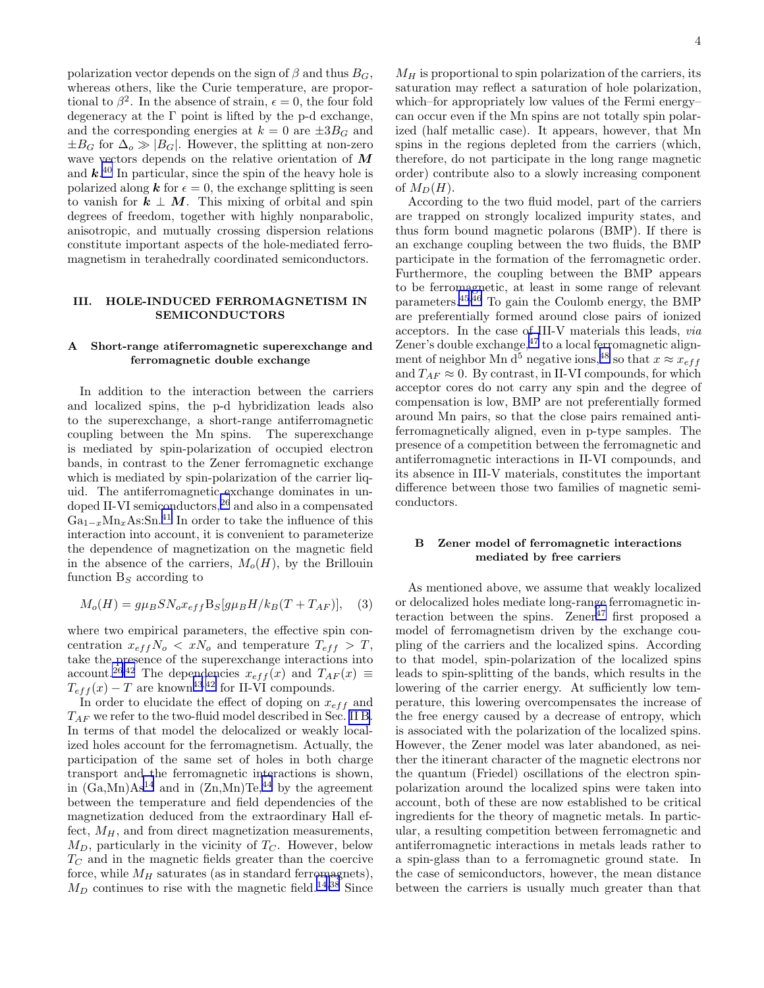<span id="page-3-0"></span>polarization vector depends on the sign of  $\beta$  and thus  $B_G$ , whereas others, like the Curie temperature, are proportional to  $\beta^2$ . In the absence of strain,  $\epsilon = 0$ , the four fold degeneracy at the Γ point is lifted by the p-d exchange, and the corresponding energies at  $k = 0$  are  $\pm 3B_G$  and  $\pm B_G$  for  $\Delta_o \gg |B_G|$ . However, the splitting at non-zero wave vectors depends on the relative orientation of M and  $k^{40}$  $k^{40}$  $k^{40}$  In particular, since the spin of the heavy hole is polarized along **k** for  $\epsilon = 0$ , the exchange splitting is seen to vanish for  $k \perp M$ . This mixing of orbital and spin degrees of freedom, together with highly nonparabolic, anisotropic, and mutually crossing dispersion relations constitute important aspects of the hole-mediated ferromagnetism in terahedrally coordinated semiconductors.

## III. HOLE-INDUCED FERROMAGNETISM IN SEMICONDUCTORS

## A Short-range atiferromagnetic superexchange and ferromagnetic double exchange

In addition to the interaction between the carriers and localized spins, the p-d hybridization leads also to the superexchange, a short-range antiferromagnetic coupling between the Mn spins. The superexchange is mediated by spin-polarization of occupied electron bands, in contrast to the Zener ferromagnetic exchange which is mediated by spin-polarization of the carrier liquid. The antiferromagnetic exchange dominates in un-doped II-VI semiconductors,<sup>[26](#page-22-0)</sup> and also in a compensated  $Ga_{1-x}Mn_xAs:Sn.<sup>41</sup>$  $Ga_{1-x}Mn_xAs:Sn.<sup>41</sup>$  $Ga_{1-x}Mn_xAs:Sn.<sup>41</sup>$  In order to take the influence of this interaction into account, it is convenient to parameterize the dependence of magnetization on the magnetic field in the absence of the carriers,  $M_o(H)$ , by the Brillouin function  $B<sub>S</sub>$  according to

$$
M_o(H) = g\mu_B S N_o x_{eff} B_S[g\mu_B H/k_B(T + T_{AF})], \quad (3)
$$

where two empirical parameters, the effective spin concentration  $x_{eff} N_o < x N_o$  and temperature  $T_{eff} > T$ , take the presence of the superexchange interactions into account.<sup>[26,42](#page-22-0)</sup> The dependencies  $x_{eff}(x)$  and  $T_{AF}(x) \equiv$  $T_{eff}(x) - T$  are known<sup>[43](#page-22-0),[42](#page-22-0)</sup> for II-VI compounds.

In order to elucidate the effect of doping on  $x_{eff}$  and  $T_{AF}$  we refer to the two-fluid model described in Sec. [II B](#page-1-0). In terms of that model the delocalized or weakly localized holes account for the ferromagnetism. Actually, the participation of the same set of holes in both charge transport and the ferromagnetic interactions is shown, in  $(Ga, Mn)As^{14}$  $(Ga, Mn)As^{14}$  $(Ga, Mn)As^{14}$  and in  $(Zn, Mn)Te^{44}$  $(Zn, Mn)Te^{44}$  $(Zn, Mn)Te^{44}$  by the agreement between the temperature and field dependencies of the magnetization deduced from the extraordinary Hall effect,  $M_H$ , and from direct magnetization measurements,  $M_D$ , particularly in the vicinity of  $T_C$ . However, below  $T<sub>C</sub>$  and in the magnetic fields greater than the coercive force, while  $M_H$  saturates (as in standard ferromagnets),  $M_D$  continues to rise with the magnetic field.<sup>[14,38](#page-22-0)</sup> Since

 $M_H$  is proportional to spin polarization of the carriers, its saturation may reflect a saturation of hole polarization, which–for appropriately low values of the Fermi energy– can occur even if the Mn spins are not totally spin polarized (half metallic case). It appears, however, that Mn spins in the regions depleted from the carriers (which, therefore, do not participate in the long range magnetic order) contribute also to a slowly increasing component of  $M_D(H)$ .

According to the two fluid model, part of the carriers are trapped on strongly localized impurity states, and thus form bound magnetic polarons (BMP). If there is an exchange coupling between the two fluids, the BMP participate in the formation of the ferromagnetic order. Furthermore, the coupling between the BMP appears to be ferromagnetic, at least in some range of relevant parameters.[45,46](#page-22-0) To gain the Coulomb energy, the BMP are preferentially formed around close pairs of ionized acceptors. In the case of III-V materials this leads, via Zener's double exchange,  $47$  to a local ferromagnetic align-ment of neighbor Mn d<sup>5</sup> negative ions,<sup>[48](#page-23-0)</sup> so that  $x \approx x_{eff}$ and  $T_{AF} \approx 0$ . By contrast, in II-VI compounds, for which acceptor cores do not carry any spin and the degree of compensation is low, BMP are not preferentially formed around Mn pairs, so that the close pairs remained antiferromagnetically aligned, even in p-type samples. The presence of a competition between the ferromagnetic and antiferromagnetic interactions in II-VI compounds, and its absence in III-V materials, constitutes the important difference between those two families of magnetic semiconductors.

# B Zener model of ferromagnetic interactions mediated by free carriers

As mentioned above, we assume that weakly localized or delocalized holes mediate long-range ferromagnetic in-teraction between the spins. Zener<sup>[47](#page-22-0)</sup> first proposed a model of ferromagnetism driven by the exchange coupling of the carriers and the localized spins. According to that model, spin-polarization of the localized spins leads to spin-splitting of the bands, which results in the lowering of the carrier energy. At sufficiently low temperature, this lowering overcompensates the increase of the free energy caused by a decrease of entropy, which is associated with the polarization of the localized spins. However, the Zener model was later abandoned, as neither the itinerant character of the magnetic electrons nor the quantum (Friedel) oscillations of the electron spinpolarization around the localized spins were taken into account, both of these are now established to be critical ingredients for the theory of magnetic metals. In particular, a resulting competition between ferromagnetic and antiferromagnetic interactions in metals leads rather to a spin-glass than to a ferromagnetic ground state. In the case of semiconductors, however, the mean distance between the carriers is usually much greater than that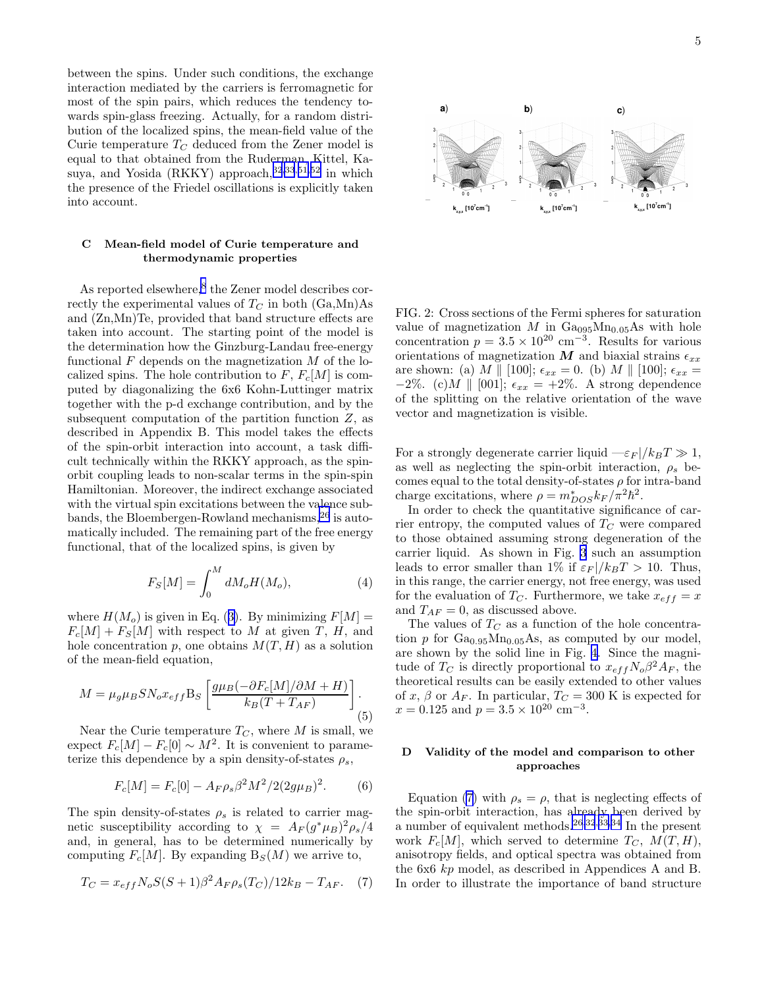<span id="page-4-0"></span>between the spins. Under such conditions, the exchange interaction mediated by the carriers is ferromagnetic for most of the spin pairs, which reduces the tendency towards spin-glass freezing. Actually, for a random distribution of the localized spins, the mean-field value of the Curie temperature  $T_C$  deduced from the Zener model is equal to that obtained from the Ruderman, Kittel, Ka-suya, and Yosida (RKKY) approach,<sup>[32,33](#page-22-0),[51,52](#page-23-0)</sup> in which the presence of the Friedel oscillations is explicitly taken into account.

# C Mean-field model of Curie temperature and thermodynamic properties

As reported elsewhere,<sup>[8](#page-22-0)</sup> the Zener model describes correctly the experimental values of  $T_C$  in both  $(Ga, Mn)As$ and (Zn,Mn)Te, provided that band structure effects are taken into account. The starting point of the model is the determination how the Ginzburg-Landau free-energy functional  $F$  depends on the magnetization  $M$  of the localized spins. The hole contribution to  $F, F_c[M]$  is computed by diagonalizing the 6x6 Kohn-Luttinger matrix together with the p-d exchange contribution, and by the subsequent computation of the partition function  $Z$ , as described in Appendix B. This model takes the effects of the spin-orbit interaction into account, a task difficult technically within the RKKY approach, as the spinorbit coupling leads to non-scalar terms in the spin-spin Hamiltonian. Moreover, the indirect exchange associated with the virtual spin excitations between the valence subbands, the Bloembergen-Rowland mechanisms,[26](#page-22-0) is automatically included. The remaining part of the free energy functional, that of the localized spins, is given by

$$
F_S[M] = \int_0^M dM_o H(M_o),\tag{4}
$$

where $H(M_o)$  is given in Eq. ([3\)](#page-3-0). By minimizing  $F[M] =$  $F_c[M] + F_S[M]$  with respect to M at given T, H, and hole concentration p, one obtains  $M(T, H)$  as a solution of the mean-field equation,

$$
M = \mu_g \mu_B S N_o x_{eff} B_S \left[ \frac{g \mu_B (-\partial F_c[M]/\partial M + H)}{k_B (T + T_{AF})} \right].
$$
\n(5)

Near the Curie temperature  $T_C$ , where M is small, we expect  $F_c[M] - F_c[0] \sim M^2$ . It is convenient to parameterize this dependence by a spin density-of-states  $\rho_s$ ,

$$
F_c[M] = F_c[0] - A_F \rho_s \beta^2 M^2 / 2(2g\mu_B)^2.
$$
 (6)

The spin density-of-states  $\rho_s$  is related to carrier magnetic susceptibility according to  $\chi = A_F (g^* \mu_B)^2 \rho_s / 4$ and, in general, has to be determined numerically by computing  $F_c[M]$ . By expanding  $B_s(M)$  we arrive to,

$$
T_C = x_{eff} N_o S(S+1) \beta^2 A_F \rho_s (T_C) / 12 k_B - T_{AF}.
$$
 (7)



FIG. 2: Cross sections of the Fermi spheres for saturation value of magnetization M in  $Ga_{095}Mn_{0.05}As$  with hole concentration  $p = 3.5 \times 10^{20}$  cm<sup>-3</sup>. Results for various orientations of magnetization  $M$  and biaxial strains  $\epsilon_{xx}$ are shown: (a) M || [100];  $\epsilon_{xx} = 0$ . (b) M || [100];  $\epsilon_{xx} =$ −2%. (c) M || [001];  $\epsilon_{xx} = +2\%$ . A strong dependence of the splitting on the relative orientation of the wave vector and magnetization is visible.

For a strongly degenerate carrier liquid  $-\varepsilon_F / k_B T \gg 1$ , as well as neglecting the spin-orbit interaction,  $\rho_s$  becomes equal to the total density-of-states  $\rho$  for intra-band charge excitations, where  $\rho = m_{DOS}^* k_F / \pi^2 \hbar^2$ .

In order to check the quantitative significance of carrier entropy, the computed values of  $T_C$  were compared to those obtained assuming strong degeneration of the carrier liquid. As shown in Fig. [3](#page-5-0) such an assumption leads to error smaller than 1% if  $\varepsilon_F / k_B T > 10$ . Thus, in this range, the carrier energy, not free energy, was used for the evaluation of  $T_C$ . Furthermore, we take  $x_{eff} = x$ and  $T_{AF} = 0$ , as discussed above.

The values of  $T_C$  as a function of the hole concentration p for  $Ga<sub>0.95</sub>Mn<sub>0.05</sub>As$ , as computed by our model, are shown by the solid line in Fig. [4.](#page-5-0) Since the magnitude of  $T_C$  is directly proportional to  $x_{eff} N_o \beta^2 A_F$ , the theoretical results can be easily extended to other values of x,  $\beta$  or  $A_F$ . In particular,  $T_C = 300$  K is expected for  $x = 0.125$  and  $p = 3.5 \times 10^{20}$  cm<sup>-3</sup>.

# D Validity of the model and comparison to other approaches

Equation (7) with  $\rho_s = \rho$ , that is neglecting effects of the spin-orbit interaction, has already been derived by a number of equivalent methods.<sup>[26,32](#page-22-0),[33,34](#page-22-0)</sup> In the present work  $F_c[M]$ , which served to determine  $T_C$ ,  $M(T, H)$ , anisotropy fields, and optical spectra was obtained from the 6x6 kp model, as described in Appendices A and B. In order to illustrate the importance of band structure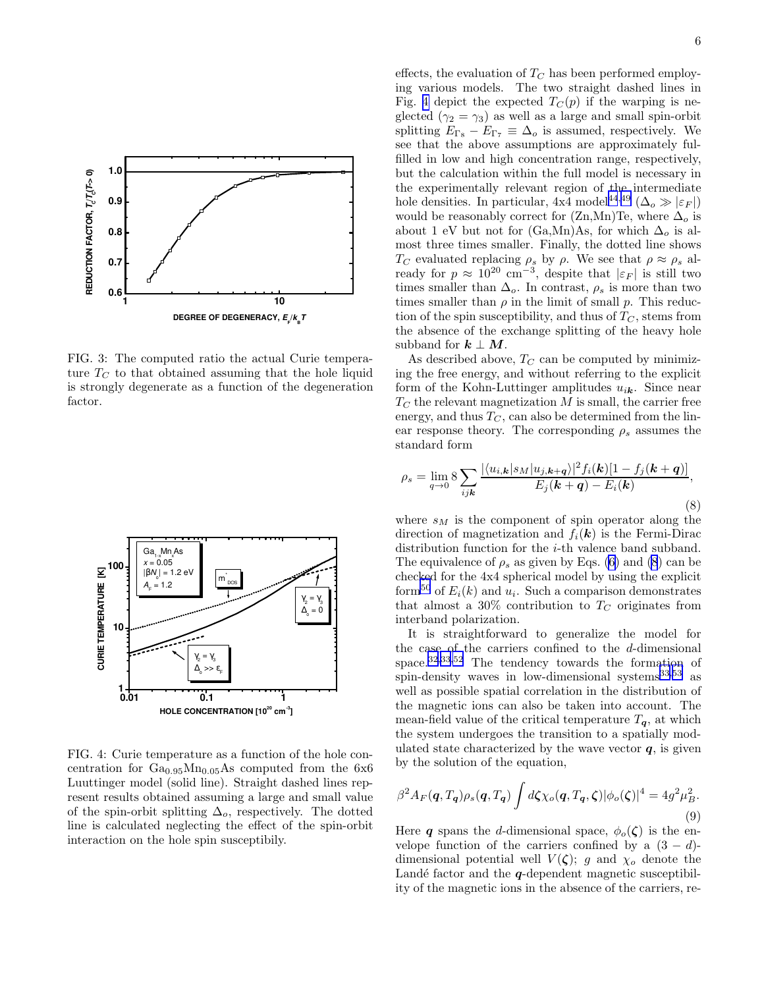<span id="page-5-0"></span>

FIG. 3: The computed ratio the actual Curie temperature  $T_C$  to that obtained assuming that the hole liquid is strongly degenerate as a function of the degeneration factor.



FIG. 4: Curie temperature as a function of the hole concentration for  $Ga<sub>0.95</sub>Mn<sub>0.05</sub>As computed from the 6x6$ Luuttinger model (solid line). Straight dashed lines represent results obtained assuming a large and small value of the spin-orbit splitting  $\Delta_o$ , respectively. The dotted line is calculated neglecting the effect of the spin-orbit interaction on the hole spin susceptibily.

effects, the evaluation of  $T_C$  has been performed employing various models. The two straight dashed lines in Fig. 4 depict the expected  $T_C(p)$  if the warping is neglected ( $\gamma_2 = \gamma_3$ ) as well as a large and small spin-orbit splitting  $E_{\Gamma_8} - E_{\Gamma_7} \equiv \Delta_o$  is assumed, respectively. We see that the above assumptions are approximately fulfilled in low and high concentration range, respectively, but the calculation within the full model is necessary in the experimentally relevant region of the intermediate hole densities. In particular,  $4x\overline{4}$  model<sup>[44](#page-22-0),[49](#page-23-0)</sup> ( $\Delta_o \gg |\varepsilon_F|$ ) would be reasonably correct for  $(Zn,Mn)$ Te, where  $\Delta_o$  is about 1 eV but not for (Ga,Mn)As, for which  $\Delta_o$  is almost three times smaller. Finally, the dotted line shows T<sub>C</sub> evaluated replacing  $\rho_s$  by  $\rho$ . We see that  $\rho \approx \rho_s$  already for  $p \approx 10^{20}$  cm<sup>-3</sup>, despite that  $|\varepsilon_F|$  is still two times smaller than  $\Delta_o$ . In contrast,  $\rho_s$  is more than two times smaller than  $\rho$  in the limit of small p. This reduction of the spin susceptibility, and thus of  $T_C$ , stems from the absence of the exchange splitting of the heavy hole subband for  $k \perp M$ .

As described above,  $T_C$  can be computed by minimizing the free energy, and without referring to the explicit form of the Kohn-Luttinger amplitudes  $u_{i,k}$ . Since near  $T<sub>C</sub>$  the relevant magnetization M is small, the carrier free energy, and thus  $T_C$ , can also be determined from the linear response theory. The corresponding  $\rho_s$  assumes the standard form

$$
\rho_s = \lim_{q \to 0} 8 \sum_{ijk} \frac{|\langle u_{i,\mathbf{k}} | s_M | u_{j,\mathbf{k}+\mathbf{q}} \rangle|^2 f_i(\mathbf{k}) [1 - f_j(\mathbf{k} + \mathbf{q})]}{E_j(\mathbf{k} + \mathbf{q}) - E_i(\mathbf{k})},\tag{8}
$$

where  $s_M$  is the component of spin operator along the direction of magnetization and  $f_i(\mathbf{k})$  is the Fermi-Dirac distribution function for the i-th valence band subband. The equivalence of  $\rho_s$  as given by Eqs. [\(6](#page-4-0)) and (8) can be checked for the 4x4 spherical model by using the explicit form<sup>[50](#page-23-0)</sup> of  $E_i(k)$  and  $u_i$ . Such a comparison demonstrates that almost a 30% contribution to  $T_C$  originates from interband polarization.

It is straightforward to generalize the model for the case of the carriers confined to the d-dimensional space.[32,33](#page-22-0)[,52](#page-23-0) The tendency towards the formation of spin-density waves in low-dimensional systems $33,53$  $33,53$  as well as possible spatial correlation in the distribution of the magnetic ions can also be taken into account. The mean-field value of the critical temperature  $T_{q}$ , at which the system undergoes the transition to a spatially modulated state characterized by the wave vector  $q$ , is given by the solution of the equation,

$$
\beta^2 A_F(\boldsymbol{q}, T_{\boldsymbol{q}})\rho_s(\boldsymbol{q}, T_{\boldsymbol{q}}) \int d\zeta \chi_o(\boldsymbol{q}, T_{\boldsymbol{q}}, \zeta) |\phi_o(\zeta)|^4 = 4g^2 \mu_B^2.
$$
\n(9)

Here q spans the d-dimensional space,  $\phi_o(\zeta)$  is the envelope function of the carriers confined by a  $(3 - d)$ dimensional potential well  $V(\zeta)$ ; g and  $\chi_o$  denote the Landé factor and the  $q$ -dependent magnetic susceptibility of the magnetic ions in the absence of the carriers, re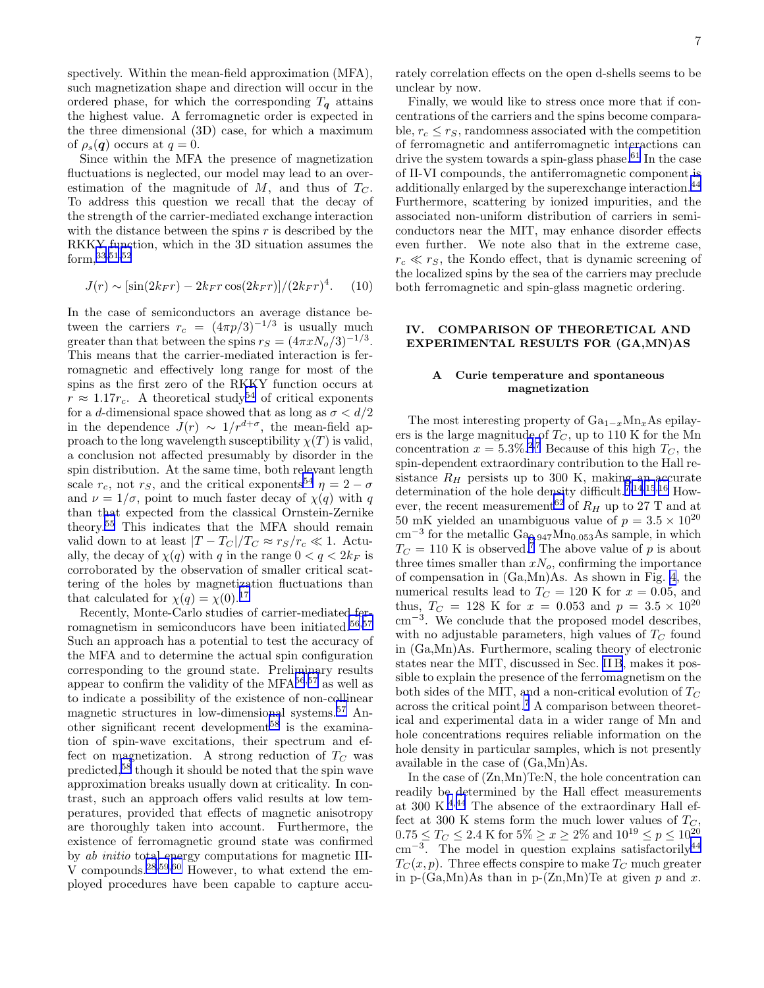spectively. Within the mean-field approximation (MFA), such magnetization shape and direction will occur in the ordered phase, for which the corresponding  $T<sub>q</sub>$  attains the highest value. A ferromagnetic order is expected in the three dimensional (3D) case, for which a maximum of  $\rho_s(q)$  occurs at  $q=0$ .

Since within the MFA the presence of magnetization fluctuations is neglected, our model may lead to an overestimation of the magnitude of  $M$ , and thus of  $T_C$ . To address this question we recall that the decay of the strength of the carrier-mediated exchange interaction with the distance between the spins  $r$  is described by the RKKY function, which in the 3D situation assumes the form,[33](#page-22-0)[,51,52](#page-23-0)

$$
J(r) \sim [\sin(2k_F r) - 2k_F r \cos(2k_F r)]/(2k_F r)^4. \tag{10}
$$

In the case of semiconductors an average distance between the carriers  $r_c = (4\pi p/3)^{-1/3}$  is usually much greater than that between the spins  $r_S = (4\pi x N_o/3)^{-1/3}$ . This means that the carrier-mediated interaction is ferromagnetic and effectively long range for most of the spins as the first zero of the RKKY function occurs at  $r \approx 1.17r_c$ . A theoretical study<sup>[54](#page-23-0)</sup> of critical exponents for a  $d\text{-dimensional space showed that as long as }\sigma < d/2$ in the dependence  $J(r) \sim 1/r^{d+\sigma}$ , the mean-field approach to the long wavelength susceptibility  $\chi(T)$  is valid, a conclusion not affected presumably by disorder in the spin distribution. At the same time, both relevant length scale  $r_c$ , not  $r_s$ , and the critical exponents<sup>[54](#page-23-0)</sup>  $\eta = 2 - \sigma$ and  $\nu = 1/\sigma$ , point to much faster decay of  $\chi(q)$  with q than that expected from the classical Ornstein-Zernike theory.[55](#page-23-0) This indicates that the MFA should remain valid down to at least  $|T - T_C|/T_C \approx r_S/r_c \ll 1$ . Actually, the decay of  $\chi(q)$  with q in the range  $0 < q < 2k_F$  is corroborated by the observation of smaller critical scattering of the holes by magnetization fluctuations than that calculated for  $\chi(q) = \chi(0).^{17}$  $\chi(q) = \chi(0).^{17}$  $\chi(q) = \chi(0).^{17}$ 

Recently, Monte-Carlo studies of carrier-mediated fer-romagnetism in semiconducors have been initiated.<sup>[56](#page-23-0),[57](#page-23-0)</sup> Such an approach has a potential to test the accuracy of the MFA and to determine the actual spin configuration corresponding to the ground state. Preliminary results appear to confirm the validity of the MFA $^{56,57}$  $^{56,57}$  $^{56,57}$  $^{56,57}$  $^{56,57}$  as well as to indicate a possibility of the existence of non-collinear magnetic structures in low-dimensional systems.[57](#page-23-0) An-other significant recent development<sup>[58](#page-23-0)</sup> is the examination of spin-wave excitations, their spectrum and effect on magnetization. A strong reduction of  $T_C$  was predicted,[58](#page-23-0) though it should be noted that the spin wave approximation breaks usually down at criticality. In contrast, such an approach offers valid results at low temperatures, provided that effects of magnetic anisotropy are thoroughly taken into account. Furthermore, the existence of ferromagnetic ground state was confirmed by ab initio total energy computations for magnetic III-V compounds.[28](#page-22-0)[,59](#page-23-0),[60](#page-23-0) However, to what extend the employed procedures have been capable to capture accurately correlation effects on the open d-shells seems to be unclear by now.

Finally, we would like to stress once more that if concentrations of the carriers and the spins become comparable,  $r_c \leq r_S$ , randomness associated with the competition of ferromagnetic and antiferromagnetic interactions can drive the system towards a spin-glass phase.<sup>[61](#page-23-0)</sup> In the case of II-VI compounds, the antiferromagnetic component is additionally enlarged by the superexchange interaction.<sup>[44](#page-22-0)</sup> Furthermore, scattering by ionized impurities, and the associated non-uniform distribution of carriers in semiconductors near the MIT, may enhance disorder effects even further. We note also that in the extreme case,  $r_c \ll r_S$ , the Kondo effect, that is dynamic screening of the localized spins by the sea of the carriers may preclude both ferromagnetic and spin-glass magnetic ordering.

## IV. COMPARISON OF THEORETICAL AND EXPERIMENTAL RESULTS FOR (GA,MN)AS

## A Curie temperature and spontaneous magnetization

The most interesting property of  $Ga_{1-x}Mn_xAs$  epilayers is the large magnitude of  $T_C$ , up to 110 K for the Mn concentration  $x = 5.3\%$ <sup>[2,7](#page-22-0)</sup> Because of this high  $T_C$ , the spin-dependent extraordinary contribution to the Hall resistance  $R_H$  persists up to 300 K, making an accurate determination of the hole density difficult.<sup> $\tilde{7},14,15,16$  $\tilde{7},14,15,16$ </sup> How-ever, the recent measurement<sup>[62](#page-23-0)</sup> of  $R_H$  up to 27 T and at 50 mK yielded an unambiguous value of  $p = 3.5 \times 10^{20}$ cm<sup>-3</sup> for the metallic Ga<sub>0.947</sub>Mn<sub>0.053</sub>As sample, in which  $T_C = 110$  K is observed.<sup>[7](#page-22-0)</sup> The above value of p is about three times smaller than  $xN<sub>o</sub>$ , confirming the importance of compensation in (Ga,Mn)As. As shown in Fig. [4](#page-5-0), the numerical results lead to  $T_C = 120$  K for  $x = 0.05$ , and thus,  $T_C = 128$  K for  $x = 0.053$  and  $p = 3.5 \times 10^{20}$ cm<sup>−</sup><sup>3</sup> . We conclude that the proposed model describes, with no adjustable parameters, high values of  $T_C$  found in (Ga,Mn)As. Furthermore, scaling theory of electronic states near the MIT, discussed in Sec. [II B](#page-1-0), makes it possible to explain the presence of the ferromagnetism on the both sides of the MIT, and a non-critical evolution of  $T_C$ across the critical point.[7](#page-22-0) A comparison between theoretical and experimental data in a wider range of Mn and hole concentrations requires reliable information on the hole density in particular samples, which is not presently available in the case of (Ga,Mn)As.

In the case of (Zn,Mn)Te:N, the hole concentration can readily be determined by the Hall effect measurements at 300 K.[4](#page-22-0),[44](#page-22-0) The absence of the extraordinary Hall effect at 300 K stems form the much lower values of  $T_C$ ,  $0.75 \le T_C \le 2.4$  K for  $5\% \ge x \ge 2\%$  and  $10^{19} \le p \le 10^{20}$ cm<sup>-3</sup>. The model in question explains satisfactorily<sup>[44](#page-22-0)</sup>  $T_C(x, p)$ . Three effects conspire to make  $T_C$  much greater in p-(Ga,Mn)As than in p-(Zn,Mn)Te at given  $p$  and  $x$ .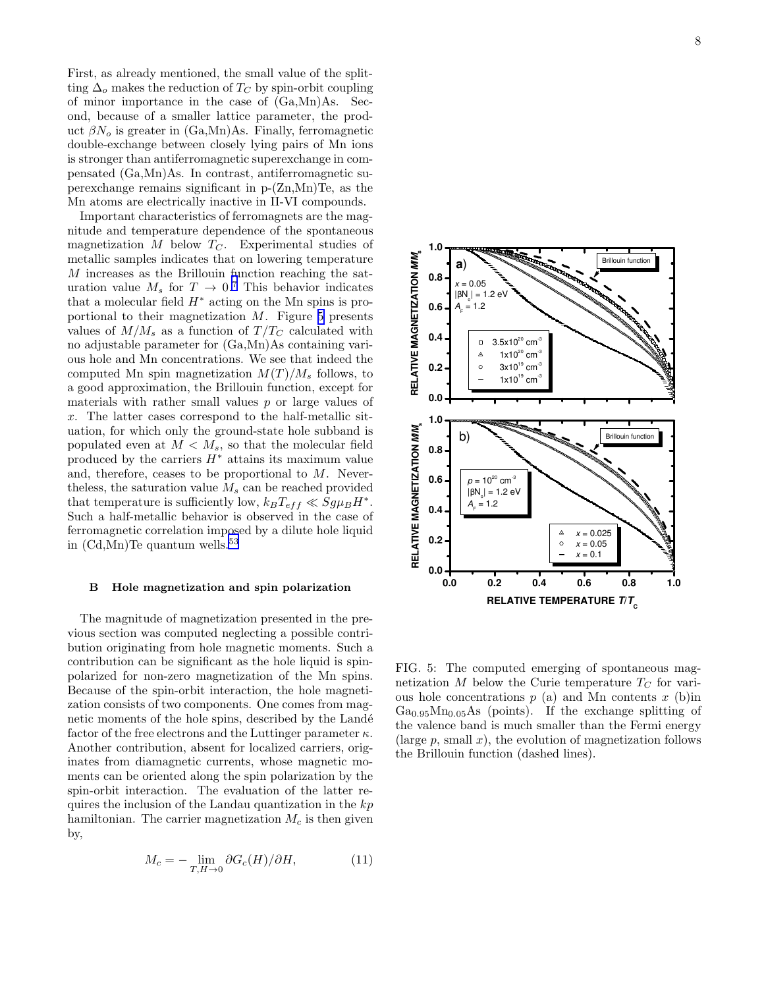First, as already mentioned, the small value of the splitting  $\Delta_o$  makes the reduction of  $T_C$  by spin-orbit coupling of minor importance in the case of (Ga,Mn)As. Second, because of a smaller lattice parameter, the product  $\beta N_o$  is greater in (Ga,Mn)As. Finally, ferromagnetic double-exchange between closely lying pairs of Mn ions is stronger than antiferromagnetic superexchange in compensated (Ga,Mn)As. In contrast, antiferromagnetic superexchange remains significant in p-(Zn,Mn)Te, as the Mn atoms are electrically inactive in II-VI compounds.

Important characteristics of ferromagnets are the magnitude and temperature dependence of the spontaneous magnetization  $M$  below  $T_C$ . Experimental studies of metallic samples indicates that on lowering temperature M increases as the Brillouin function reaching the saturation value  $M_s$  for  $T \rightarrow 0.7$  $T \rightarrow 0.7$  This behavior indicates that a molecular field  $H^*$  acting on the Mn spins is proportional to their magnetization  $M$ . Figure 5 presents values of  $M/M_s$  as a function of  $T/T_C$  calculated with no adjustable parameter for (Ga,Mn)As containing various hole and Mn concentrations. We see that indeed the computed Mn spin magnetization  $M(T)/M_s$  follows, to a good approximation, the Brillouin function, except for materials with rather small values  $p$  or large values of x. The latter cases correspond to the half-metallic situation, for which only the ground-state hole subband is populated even at  $M < M_s$ , so that the molecular field produced by the carriers  $H^*$  attains its maximum value and, therefore, ceases to be proportional to M. Nevertheless, the saturation value  $M_s$  can be reached provided that temperature is sufficiently low,  $k_B T_{eff} \ll S g \mu_B H^*$ . Such a half-metallic behavior is observed in the case of ferromagnetic correlation imposed by a dilute hole liquid in  $(Cd, Mn)$ Te quantum wells.<sup>[53](#page-23-0)</sup>

#### B Hole magnetization and spin polarization

The magnitude of magnetization presented in the previous section was computed neglecting a possible contribution originating from hole magnetic moments. Such a contribution can be significant as the hole liquid is spinpolarized for non-zero magnetization of the Mn spins. Because of the spin-orbit interaction, the hole magnetization consists of two components. One comes from magnetic moments of the hole spins, described by the Landé factor of the free electrons and the Luttinger parameter  $\kappa$ . Another contribution, absent for localized carriers, originates from diamagnetic currents, whose magnetic moments can be oriented along the spin polarization by the spin-orbit interaction. The evaluation of the latter requires the inclusion of the Landau quantization in the  $kp$ hamiltonian. The carrier magnetization  $M_c$  is then given by,

$$
M_c = -\lim_{T,H \to 0} \partial G_c(H)/\partial H,\tag{11}
$$



FIG. 5: The computed emerging of spontaneous magnetization  $M$  below the Curie temperature  $T_C$  for various hole concentrations  $p(a)$  and Mn contents  $x(b)$ in  $Ga<sub>0.95</sub>Mn<sub>0.05</sub>As$  (points). If the exchange splitting of the valence band is much smaller than the Fermi energy (large  $p$ , small  $x$ ), the evolution of magnetization follows the Brillouin function (dashed lines).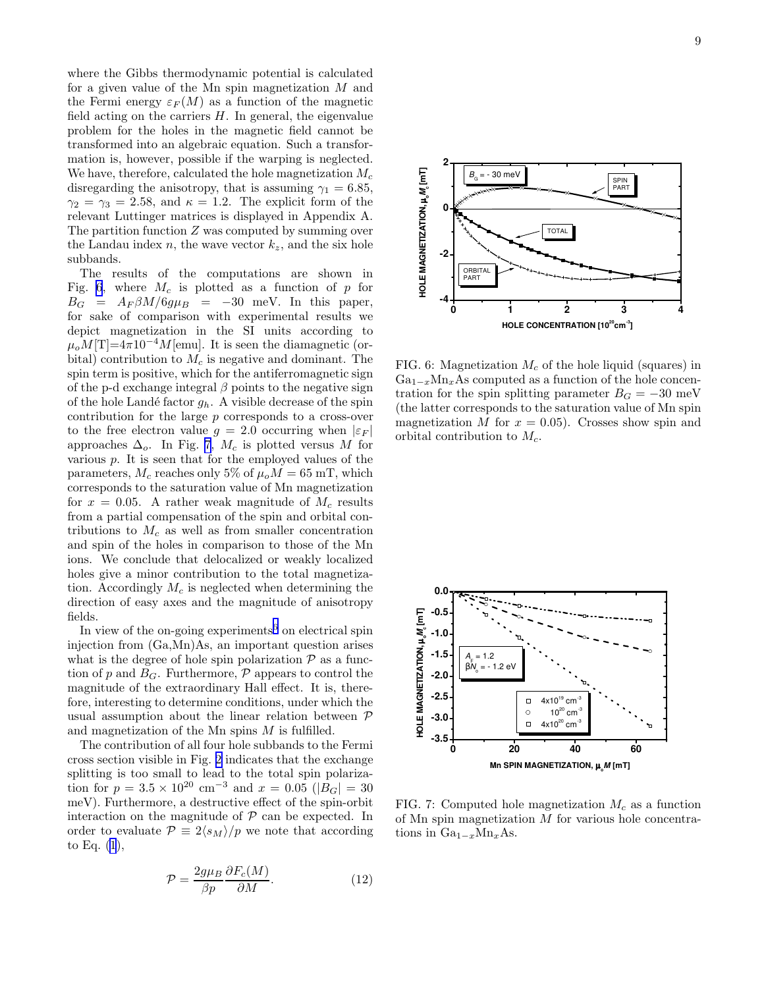where the Gibbs thermodynamic potential is calculated for a given value of the Mn spin magnetization M and the Fermi energy  $\varepsilon_F(M)$  as a function of the magnetic field acting on the carriers  $H$ . In general, the eigenvalue problem for the holes in the magnetic field cannot be transformed into an algebraic equation. Such a transformation is, however, possible if the warping is neglected. We have, therefore, calculated the hole magnetization  $M_c$ disregarding the anisotropy, that is assuming  $\gamma_1 = 6.85$ ,  $\gamma_2 = \gamma_3 = 2.58$ , and  $\kappa = 1.2$ . The explicit form of the relevant Luttinger matrices is displayed in Appendix A. The partition function Z was computed by summing over the Landau index n, the wave vector  $k_z$ , and the six hole subbands.

The results of the computations are shown in Fig. 6, where  $M_c$  is plotted as a function of p for  $B_G = A_F \beta M / 6g\mu_B = -30$  meV. In this paper, for sake of comparison with experimental results we depict magnetization in the SI units according to  $\mu_o M[T]=4\pi 10^{-4}M$ [emu]. It is seen the diamagnetic (orbital) contribution to  $M_c$  is negative and dominant. The spin term is positive, which for the antiferromagnetic sign of the p-d exchange integral  $\beta$  points to the negative sign of the hole Landé factor  $g_h$ . A visible decrease of the spin contribution for the large p corresponds to a cross-over to the free electron value  $g = 2.0$  occurring when  $|\varepsilon_F|$ approaches  $\Delta_o$ . In Fig. 7,  $M_c$  is plotted versus M for various  $p$ . It is seen that for the employed values of the parameters,  $M_c$  reaches only 5% of  $\mu_o M = 65$  mT, which corresponds to the saturation value of Mn magnetization for  $x = 0.05$ . A rather weak magnitude of  $M_c$  results from a partial compensation of the spin and orbital contributions to  $M_c$  as well as from smaller concentration and spin of the holes in comparison to those of the Mn ions. We conclude that delocalized or weakly localized holes give a minor contribution to the total magnetization. Accordingly  $M_c$  is neglected when determining the direction of easy axes and the magnitude of anisotropy fields.

In view of the on-going experiments<sup>[6](#page-22-0)</sup> on electrical spin injection from (Ga,Mn)As, an important question arises what is the degree of hole spin polarization  $P$  as a function of p and  $B_G$ . Furthermore,  $\mathcal P$  appears to control the magnitude of the extraordinary Hall effect. It is, therefore, interesting to determine conditions, under which the usual assumption about the linear relation between P and magnetization of the Mn spins  $M$  is fulfilled.

The contribution of all four hole subbands to the Fermi cross section visible in Fig. [2](#page-4-0) indicates that the exchange splitting is too small to lead to the total spin polarization for  $p = 3.5 \times 10^{20}$  cm<sup>-3</sup> and  $x = 0.05$  ( $|B_G| = 30$ meV). Furthermore, a destructive effect of the spin-orbit interaction on the magnitude of  $P$  can be expected. In order to evaluate  $\mathcal{P} \equiv 2\langle s_M \rangle / p$  we note that according to Eq. [\(1](#page-2-0)),

$$
\mathcal{P} = \frac{2g\mu_B}{\beta p} \frac{\partial F_c(M)}{\partial M}.
$$
\n(12)



FIG. 6: Magnetization  $M_c$  of the hole liquid (squares) in  $Ga_{1-x}Mn_xAs$  computed as a function of the hole concentration for the spin splitting parameter  $B<sub>G</sub> = -30$  meV (the latter corresponds to the saturation value of Mn spin magnetization M for  $x = 0.05$ . Crosses show spin and orbital contribution to  $M_c$ .



FIG. 7: Computed hole magnetization  $M_c$  as a function of Mn spin magnetization  $M$  for various hole concentrations in  $Ga_{1-x}Mn_xAs$ .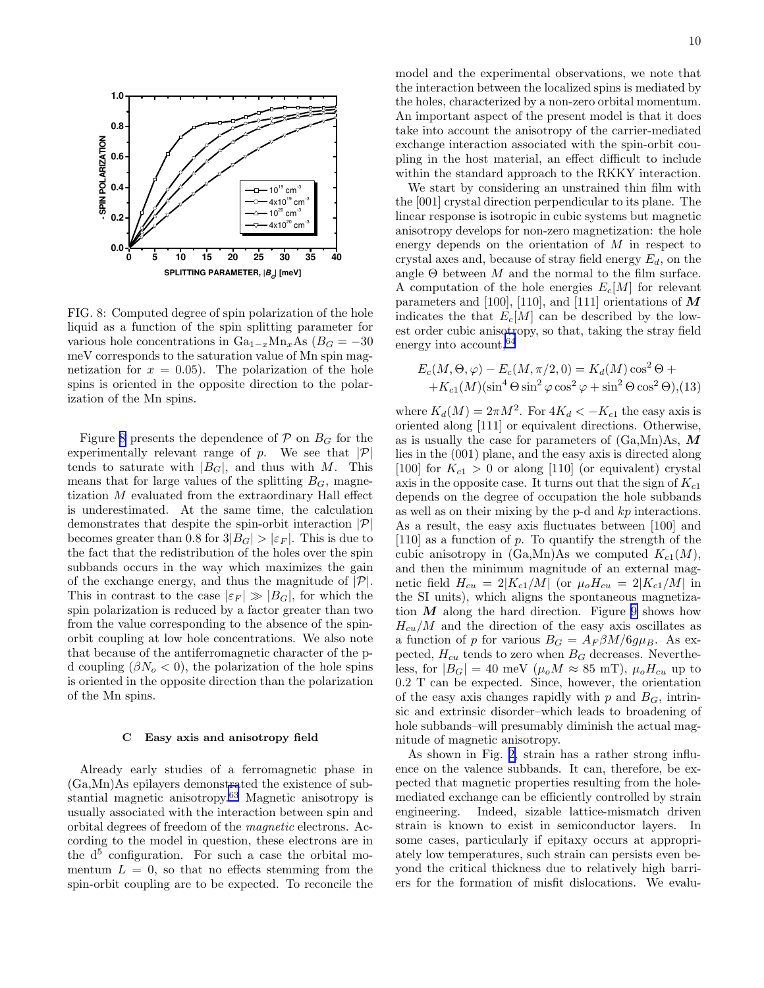

FIG. 8: Computed degree of spin polarization of the hole liquid as a function of the spin splitting parameter for various hole concentrations in  $Ga_{1-x}Mn_xAs$  ( $B_G = -30$ ) meV corresponds to the saturation value of Mn spin magnetization for  $x = 0.05$ . The polarization of the hole spins is oriented in the opposite direction to the polarization of the Mn spins.

Figure 8 presents the dependence of  $P$  on  $B<sub>G</sub>$  for the experimentally relevant range of  $p$ . We see that  $|\mathcal{P}|$ tends to saturate with  $|B_G|$ , and thus with M. This means that for large values of the splitting  $B<sub>G</sub>$ , magnetization M evaluated from the extraordinary Hall effect is underestimated. At the same time, the calculation demonstrates that despite the spin-orbit interaction  $|\mathcal{P}|$ becomes greater than 0.8 for  $3|B_G| > |\varepsilon_F|$ . This is due to the fact that the redistribution of the holes over the spin subbands occurs in the way which maximizes the gain of the exchange energy, and thus the magnitude of  $|\mathcal{P}|$ . This in contrast to the case  $|\varepsilon_F| \gg |B_G|$ , for which the spin polarization is reduced by a factor greater than two from the value corresponding to the absence of the spinorbit coupling at low hole concentrations. We also note that because of the antiferromagnetic character of the pd coupling  $(\beta N_o < 0)$ , the polarization of the hole spins is oriented in the opposite direction than the polarization of the Mn spins.

#### C Easy axis and anisotropy field

Already early studies of a ferromagnetic phase in (Ga,Mn)As epilayers demonstrated the existence of substantial magnetic anisotropy.[63](#page-23-0) Magnetic anisotropy is usually associated with the interaction between spin and orbital degrees of freedom of the magnetic electrons. According to the model in question, these electrons are in the  $d^5$  configuration. For such a case the orbital momentum  $L = 0$ , so that no effects stemming from the spin-orbit coupling are to be expected. To reconcile the

model and the experimental observations, we note that the interaction between the localized spins is mediated by the holes, characterized by a non-zero orbital momentum. An important aspect of the present model is that it does take into account the anisotropy of the carrier-mediated exchange interaction associated with the spin-orbit coupling in the host material, an effect difficult to include within the standard approach to the RKKY interaction.

We start by considering an unstrained thin film with the [001] crystal direction perpendicular to its plane. The linear response is isotropic in cubic systems but magnetic anisotropy develops for non-zero magnetization: the hole energy depends on the orientation of M in respect to crystal axes and, because of stray field energy  $E_d$ , on the angle  $\Theta$  between  $M$  and the normal to the film surface. A computation of the hole energies  $E_c[M]$  for relevant parameters and [100], [110], and [111] orientations of  $\overline{M}$ indicates the that  $E_c[M]$  can be described by the lowest order cubic anisotropy, so that, taking the stray field energy into account,  $64$ 

$$
E_c(M, \Theta, \varphi) - E_c(M, \pi/2, 0) = K_d(M) \cos^2 \Theta ++ K_{c1}(M) (\sin^4 \Theta \sin^2 \varphi \cos^2 \varphi + \sin^2 \Theta \cos^2 \Theta), (13)
$$

where  $K_d(M) = 2\pi M^2$ . For  $4K_d < -K_{c1}$  the easy axis is oriented along [111] or equivalent directions. Otherwise, as is usually the case for parameters of  $(Ga, Mn)As, M$ lies in the (001) plane, and the easy axis is directed along [100] for  $K_{c1} > 0$  or along [110] (or equivalent) crystal axis in the opposite case. It turns out that the sign of  $K_{c1}$ depends on the degree of occupation the hole subbands as well as on their mixing by the p-d and kp interactions. As a result, the easy axis fluctuates between [100] and [110] as a function of p. To quantify the strength of the cubic anisotropy in  $(Ga, Mn)As$  we computed  $K_{c1}(M)$ , and then the minimum magnitude of an external magnetic field  $H_{cu} = 2|K_{c1}/M|$  (or  $\mu_o H_{cu} = 2|K_{c1}/M|$  in the SI units), which aligns the spontaneous magnetization  $M$  along the hard direction. Figure [9](#page-10-0) shows how  $H_{cu}/M$  and the direction of the easy axis oscillates as a function of p for various  $B_G = A_F \beta M / 6g\mu_B$ . As expected,  $H_{cu}$  tends to zero when  $B_G$  decreases. Nevertheless, for  $|B_G| = 40$  meV  $(\mu_o M \approx 85$  mT),  $\mu_o H_{cu}$  up to 0.2 T can be expected. Since, however, the orientation of the easy axis changes rapidly with p and  $B_G$ , intrinsic and extrinsic disorder–which leads to broadening of hole subbands–will presumably diminish the actual magnitude of magnetic anisotropy.

As shown in Fig. [2,](#page-4-0) strain has a rather strong influence on the valence subbands. It can, therefore, be expected that magnetic properties resulting from the holemediated exchange can be efficiently controlled by strain engineering. Indeed, sizable lattice-mismatch driven strain is known to exist in semiconductor layers. In some cases, particularly if epitaxy occurs at appropriately low temperatures, such strain can persists even beyond the critical thickness due to relatively high barriers for the formation of misfit dislocations. We evalu-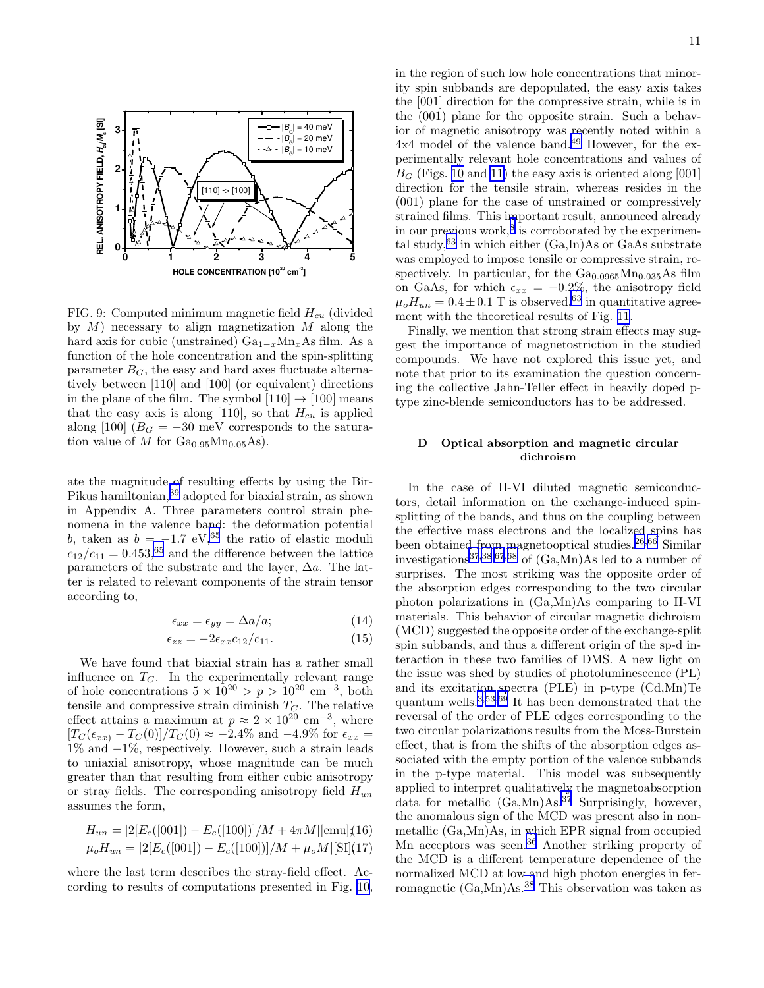<span id="page-10-0"></span>

FIG. 9: Computed minimum magnetic field  $H_{cu}$  (divided by  $M$ ) necessary to align magnetization  $M$  along the hard axis for cubic (unstrained)  $Ga_{1-x}Mn_xAs$  film. As a function of the hole concentration and the spin-splitting parameter  $B_G$ , the easy and hard axes fluctuate alternatively between [110] and [100] (or equivalent) directions in the plane of the film. The symbol  $[110] \rightarrow [100]$  means that the easy axis is along [110], so that  $H_{cu}$  is applied along [100]  $(B_G = -30 \text{ meV}$  corresponds to the saturation value of M for  $Ga<sub>0.95</sub>Mn<sub>0.05</sub>As$ .

ate the magnitude of resulting effects by using the Bir-Pikus hamiltonian,[39](#page-22-0) adopted for biaxial strain, as shown in Appendix A. Three parameters control strain phenomena in the valence band: the deformation potential b, taken as  $b = -1.7$  eV,<sup>[65](#page-23-0)</sup> the ratio of elastic moduli  $c_{12}/c_{11} = 0.453$ , <sup>[65](#page-23-0)</sup> and the difference between the lattice parameters of the substrate and the layer,  $\Delta a$ . The latter is related to relevant components of the strain tensor according to,

$$
\epsilon_{xx} = \epsilon_{yy} = \Delta a/a; \tag{14}
$$

$$
\epsilon_{zz} = -2\epsilon_{xx}c_{12}/c_{11}.\tag{15}
$$

We have found that biaxial strain has a rather small influence on  $T<sub>C</sub>$ . In the experimentally relevant range of hole concentrations  $5 \times 10^{20} > p > 10^{20}$  cm<sup>-3</sup>, both tensile and compressive strain diminish  $T<sub>C</sub>$ . The relative effect attains a maximum at  $p \approx 2 \times 10^{20} \text{ cm}^{-3}$ , where  $[T_C(\epsilon_{xx}) - T_C(0)]/T_C(0) \approx -2.4\%$  and  $-4.9\%$  for  $\epsilon_{xx}$  = 1% and −1%, respectively. However, such a strain leads to uniaxial anisotropy, whose magnitude can be much greater than that resulting from either cubic anisotropy or stray fields. The corresponding anisotropy field  $H_{un}$ assumes the form,

$$
H_{un} = |2[E_c([001]) - E_c([100])]/M + 4\pi M |[\text{emu}](16)
$$
  

$$
\mu_o H_{un} = |2[E_c([001]) - E_c([100])]/M + \mu_o M |[\text{SI}](17)
$$

where the last term describes the stray-field effect. According to results of computations presented in Fig. [10](#page-11-0), in the region of such low hole concentrations that minority spin subbands are depopulated, the easy axis takes the [001] direction for the compressive strain, while is in the (001) plane for the opposite strain. Such a behavior of magnetic anisotropy was recently noted within a 4x4 model of the valence band.<sup>[49](#page-23-0)</sup> However, for the experimentally relevant hole concentrations and values of  $B<sub>G</sub>$  (Figs. [10](#page-11-0) and [11\)](#page-11-0) the easy axis is oriented along [001] direction for the tensile strain, whereas resides in the (001) plane for the case of unstrained or compressively strained films. This important result, announced already in our previous work,<sup>[8](#page-22-0)</sup> is corroborated by the experimental study, $63$  in which either  $(Ga, In)As$  or GaAs substrate was employed to impose tensile or compressive strain, respectively. In particular, for the  $Ga_{0.0965}Mn_{0.035}As$  film on GaAs, for which  $\epsilon_{xx} = -0.2\%$ , the anisotropy field  $\mu_o H_{un} = 0.4 \pm 0.1$  T is observed, <sup>[63](#page-23-0)</sup> in quantitative agreement with the theoretical results of Fig. [11.](#page-11-0)

Finally, we mention that strong strain effects may suggest the importance of magnetostriction in the studied compounds. We have not explored this issue yet, and note that prior to its examination the question concerning the collective Jahn-Teller effect in heavily doped ptype zinc-blende semiconductors has to be addressed.

#### D Optical absorption and magnetic circular dichroism

In the case of II-VI diluted magnetic semiconductors, detail information on the exchange-induced spinsplitting of the bands, and thus on the coupling between the effective mass electrons and the localized spins has been obtained from magnetooptical studies.<sup>[26,](#page-22-0)[66](#page-23-0)</sup> Similar investigations<sup>[37,38](#page-22-0)[,67](#page-23-0),[68](#page-23-0)</sup> of  $(Ga, Mn)As$  led to a number of surprises. The most striking was the opposite order of the absorption edges corresponding to the two circular photon polarizations in (Ga,Mn)As comparing to II-VI materials. This behavior of circular magnetic dichroism (MCD) suggested the opposite order of the exchange-split spin subbands, and thus a different origin of the sp-d interaction in these two families of DMS. A new light on the issue was shed by studies of photoluminescence (PL) and its excitation spectra (PLE) in p-type (Cd,Mn)Te quantum wells.<sup>[3,](#page-22-0)[53,69](#page-23-0)</sup> It has been demonstrated that the reversal of the order of PLE edges corresponding to the two circular polarizations results from the Moss-Burstein effect, that is from the shifts of the absorption edges associated with the empty portion of the valence subbands in the p-type material. This model was subsequently applied to interpret qualitatively the magnetoabsorption data for metallic  $(Ga, Mn)As.<sup>37</sup>$  $(Ga, Mn)As.<sup>37</sup>$  $(Ga, Mn)As.<sup>37</sup>$  Surprisingly, however, the anomalous sign of the MCD was present also in nonmetallic (Ga,Mn)As, in which EPR signal from occupied Mn acceptors was seen.<sup>[36](#page-22-0)</sup> Another striking property of the MCD is a different temperature dependence of the normalized MCD at low and high photon energies in ferromagnetic (Ga,Mn)As.[38](#page-22-0) This observation was taken as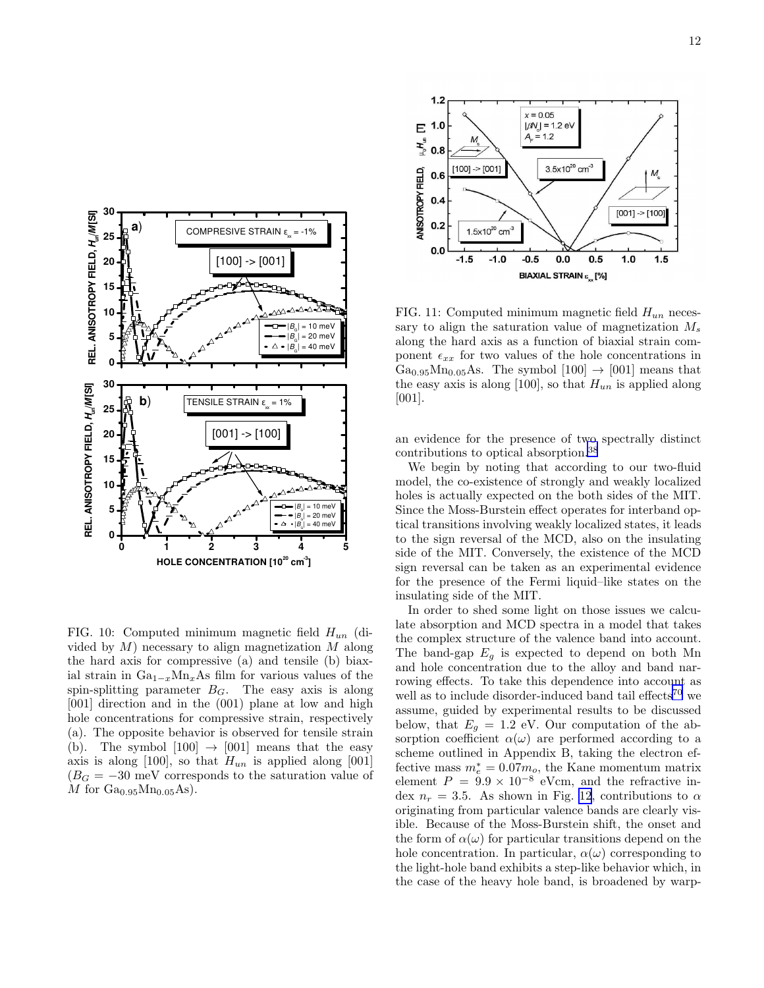<span id="page-11-0"></span>

FIG. 10: Computed minimum magnetic field  $H_{un}$  (divided by  $M$ ) necessary to align magnetization  $M$  along the hard axis for compressive (a) and tensile (b) biaxial strain in  $Ga_{1-x}Mn_xAs$  film for various values of the spin-splitting parameter  $B_G$ . The easy axis is along [001] direction and in the (001) plane at low and high hole concentrations for compressive strain, respectively (a). The opposite behavior is observed for tensile strain (b). The symbol  $[100] \rightarrow [001]$  means that the easy axis is along [100], so that  $H_{un}$  is applied along [001]  $(B_G = -30$  meV corresponds to the saturation value of  $M$  for  $Ga<sub>0.95</sub>Mn<sub>0.05</sub>As$ .



FIG. 11: Computed minimum magnetic field  $H_{un}$  necessary to align the saturation value of magnetization  $M_s$ along the hard axis as a function of biaxial strain component  $\epsilon_{xx}$  for two values of the hole concentrations in  $Ga_{0.95}Mn_{0.05}As.$  The symbol  $[100] \rightarrow [001]$  means that the easy axis is along [100], so that  $H_{un}$  is applied along [001].

an evidence for the presence of two spectrally distinct contributions to optical absorption.[38](#page-22-0)

We begin by noting that according to our two-fluid model, the co-existence of strongly and weakly localized holes is actually expected on the both sides of the MIT. Since the Moss-Burstein effect operates for interband optical transitions involving weakly localized states, it leads to the sign reversal of the MCD, also on the insulating side of the MIT. Conversely, the existence of the MCD sign reversal can be taken as an experimental evidence for the presence of the Fermi liquid–like states on the insulating side of the MIT.

In order to shed some light on those issues we calculate absorption and MCD spectra in a model that takes the complex structure of the valence band into account. The band-gap  $E_q$  is expected to depend on both Mn and hole concentration due to the alloy and band narrowing effects. To take this dependence into account as well as to include disorder-induced band tail effects<sup>[70](#page-23-0)</sup> we assume, guided by experimental results to be discussed below, that  $E_g = 1.2$  eV. Our computation of the absorption coefficient  $\alpha(\omega)$  are performed according to a scheme outlined in Appendix B, taking the electron effective mass  $m_e^* = 0.07m_o$ , the Kane momentum matrix element  $P = 9.9 \times 10^{-8}$  eVcm, and the refractive index  $n_r = 3.5$ . As shown in Fig. [12](#page-12-0), contributions to  $\alpha$ originating from particular valence bands are clearly visible. Because of the Moss-Burstein shift, the onset and the form of  $\alpha(\omega)$  for particular transitions depend on the hole concentration. In particular,  $\alpha(\omega)$  corresponding to the light-hole band exhibits a step-like behavior which, in the case of the heavy hole band, is broadened by warp-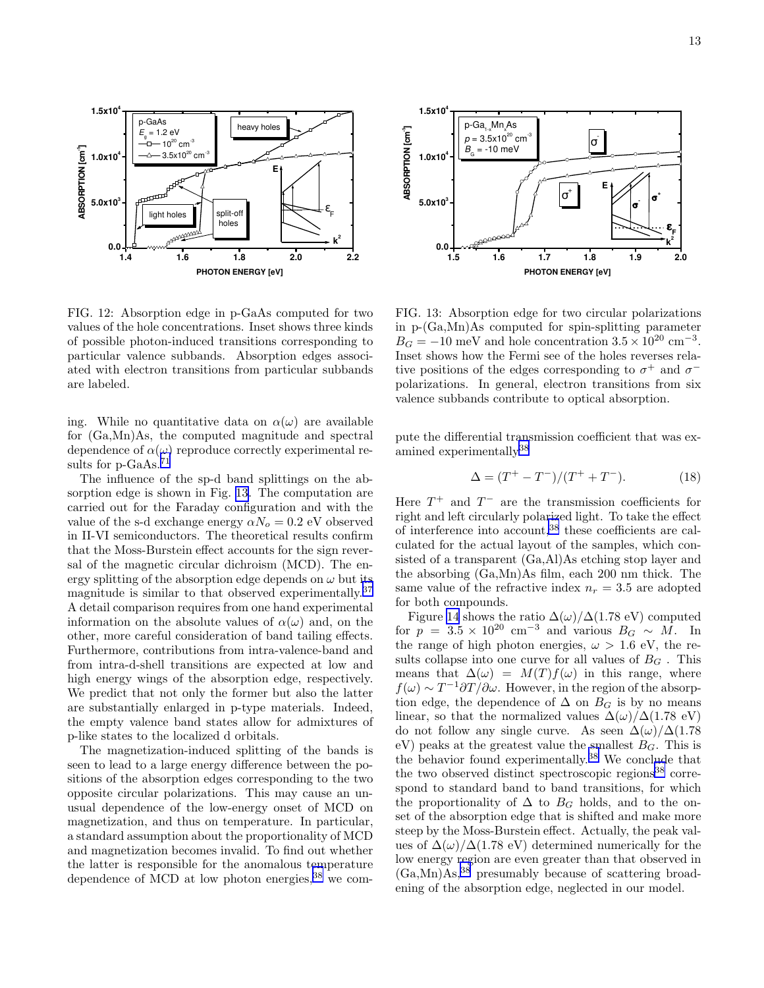<span id="page-12-0"></span>

FIG. 12: Absorption edge in p-GaAs computed for two values of the hole concentrations. Inset shows three kinds of possible photon-induced transitions corresponding to particular valence subbands. Absorption edges associated with electron transitions from particular subbands are labeled.

ing. While no quantitative data on  $\alpha(\omega)$  are available for (Ga,Mn)As, the computed magnitude and spectral dependence of  $\alpha(\omega)$  reproduce correctly experimental re-sults for p-GaAs.<sup>[71](#page-23-0)</sup>

The influence of the sp-d band splittings on the absorption edge is shown in Fig. 13. The computation are carried out for the Faraday configuration and with the value of the s-d exchange energy  $\alpha N_o = 0.2$  eV observed in II-VI semiconductors. The theoretical results confirm that the Moss-Burstein effect accounts for the sign reversal of the magnetic circular dichroism (MCD). The energy splitting of the absorption edge depends on  $\omega$  but its magnitude is similar to that observed experimentally.[37](#page-22-0) A detail comparison requires from one hand experimental information on the absolute values of  $\alpha(\omega)$  and, on the other, more careful consideration of band tailing effects. Furthermore, contributions from intra-valence-band and from intra-d-shell transitions are expected at low and high energy wings of the absorption edge, respectively. We predict that not only the former but also the latter are substantially enlarged in p-type materials. Indeed, the empty valence band states allow for admixtures of p-like states to the localized d orbitals.

The magnetization-induced splitting of the bands is seen to lead to a large energy difference between the positions of the absorption edges corresponding to the two opposite circular polarizations. This may cause an unusual dependence of the low-energy onset of MCD on magnetization, and thus on temperature. In particular, a standard assumption about the proportionality of MCD and magnetization becomes invalid. To find out whether the latter is responsible for the anomalous temperature dependence of MCD at low photon energies,  $38$  we com-



FIG. 13: Absorption edge for two circular polarizations in p-(Ga,Mn)As computed for spin-splitting parameter  $B_G = -10$  meV and hole concentration  $3.5 \times 10^{20}$  cm<sup>-3</sup>. Inset shows how the Fermi see of the holes reverses relative positions of the edges corresponding to  $\sigma^+$  and  $\sigma^$ polarizations. In general, electron transitions from six valence subbands contribute to optical absorption.

pute the differential transmission coefficient that was ex-amined experimentally<sup>[38](#page-22-0)</sup>

$$
\Delta = (T^{+} - T^{-})/(T^{+} + T^{-}).
$$
\n(18)

Here  $T^+$  and  $T^-$  are the transmission coefficients for right and left circularly polarized light. To take the effect of interference into account,[38](#page-22-0) these coefficients are calculated for the actual layout of the samples, which consisted of a transparent (Ga,Al)As etching stop layer and the absorbing (Ga,Mn)As film, each 200 nm thick. The same value of the refractive index  $n_r = 3.5$  are adopted for both compounds.

Figure [14](#page-13-0) shows the ratio  $\Delta(\omega)/\Delta(1.78 \text{ eV})$  computed for  $p = 3.5 \times 10^{20}$  cm<sup>-3</sup> and various  $B_G \sim M$ . In the range of high photon energies,  $\omega > 1.6$  eV, the results collapse into one curve for all values of  $B<sub>G</sub>$ . This means that  $\Delta(\omega) = M(T) f(\omega)$  in this range, where  $f(\omega) \sim T^{-1} \partial T / \partial \omega$ . However, in the region of the absorption edge, the dependence of  $\Delta$  on  $B_G$  is by no means linear, so that the normalized values  $\Delta(\omega)/\Delta(1.78 \text{ eV})$ do not follow any single curve. As seen  $\Delta(\omega)/\Delta(1.78)$ eV) peaks at the greatest value the smallest  $B<sub>G</sub>$ . This is the behavior found experimentally.[38](#page-22-0) We conclude that the two observed distinct spectroscopic regions<sup>[38](#page-22-0)</sup> correspond to standard band to band transitions, for which the proportionality of  $\Delta$  to  $B_G$  holds, and to the onset of the absorption edge that is shifted and make more steep by the Moss-Burstein effect. Actually, the peak values of  $\Delta(\omega)/\Delta(1.78 \text{ eV})$  determined numerically for the low energy region are even greater than that observed in  $(Ga, Mn)\overline{A}s$ ,  $38$  presumably because of scattering broadening of the absorption edge, neglected in our model.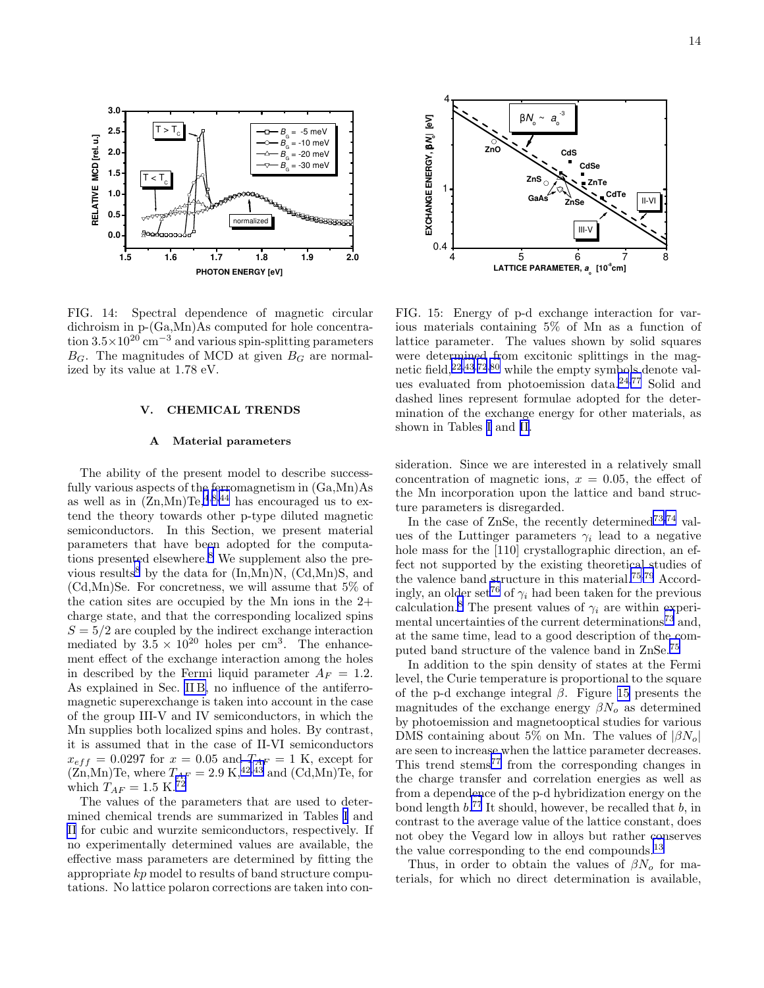<span id="page-13-0"></span>

FIG. 14: Spectral dependence of magnetic circular dichroism in p-(Ga,Mn)As computed for hole concentration  $3.5\times10^{20}$  cm<sup>-3</sup> and various spin-splitting parameters  $B_G$ . The magnitudes of MCD at given  $B_G$  are normalized by its value at 1.78 eV.

#### V. CHEMICAL TRENDS

#### A Material parameters

The ability of the present model to describe successfully various aspects of the ferromagnetism in  $(Ga, Mn)As$ as well as in  $(Zn, Mn)Te^{4,8,44}$  $(Zn, Mn)Te^{4,8,44}$  $(Zn, Mn)Te^{4,8,44}$  $(Zn, Mn)Te^{4,8,44}$  $(Zn, Mn)Te^{4,8,44}$  has encouraged us to extend the theory towards other p-type diluted magnetic semiconductors. In this Section, we present material parameters that have been adopted for the computations presented elsewhere.[8](#page-22-0) We supplement also the pre-vious results<sup>[8](#page-22-0)</sup> by the data for  $(In, Mn)N$ ,  $(Cd, Mn)S$ , and (Cd,Mn)Se. For concretness, we will assume that 5% of the cation sites are occupied by the Mn ions in the 2+ charge state, and that the corresponding localized spins  $S = 5/2$  are coupled by the indirect exchange interaction mediated by  $3.5 \times 10^{20}$  holes per cm<sup>3</sup>. The enhancement effect of the exchange interaction among the holes in described by the Fermi liquid parameter  $A_F = 1.2$ . As explained in Sec. [II B,](#page-1-0) no influence of the antiferromagnetic superexchange is taken into account in the case of the group III-V and IV semiconductors, in which the Mn supplies both localized spins and holes. By contrast, it is assumed that in the case of II-VI semiconductors  $x_{eff} = 0.0297$  for  $x = 0.05$  and  $T_{AF} = 1$  K, except for  $(Zn,Mn)$ Te, where  $T_{AF} = 2.9 \text{ K},^{42,43}$  $T_{AF} = 2.9 \text{ K},^{42,43}$  $T_{AF} = 2.9 \text{ K},^{42,43}$  and  $(\text{Cd},\text{Mn})$ Te, for which  $T_{AF} = 1.5~\mathrm{K}.^{72}$  $T_{AF} = 1.5~\mathrm{K}.^{72}$  $T_{AF} = 1.5~\mathrm{K}.^{72}$ 

The values of the parameters that are used to determined chemical trends are summarized in Tables [I](#page-21-0) and [II](#page-21-0) for cubic and wurzite semiconductors, respectively. If no experimentally determined values are available, the effective mass parameters are determined by fitting the appropriate kp model to results of band structure computations. No lattice polaron corrections are taken into con-



FIG. 15: Energy of p-d exchange interaction for various materials containing 5% of Mn as a function of lattice parameter. The values shown by solid squares were determined from excitonic splittings in the magnetic field,  $22,43,72,80$  $22,43,72,80$  $22,43,72,80$  $22,43,72,80$  $22,43,72,80$  while the empty symbols denote values evaluated from photoemission data.[24](#page-22-0)[,77](#page-23-0) Solid and dashed lines represent formulae adopted for the determination of the exchange energy for other materials, as shown in Tables [I](#page-21-0) and [II.](#page-21-0)

sideration. Since we are interested in a relatively small concentration of magnetic ions,  $x = 0.05$ , the effect of the Mn incorporation upon the lattice and band structure parameters is disregarded.

In the case of ZnSe, the recently determined<sup>[73,74](#page-23-0)</sup> values of the Luttinger parameters  $\gamma_i$  lead to a negative hole mass for the [110] crystallographic direction, an effect not supported by the existing theoretical studies of the valence band structure in this material.[75,79](#page-23-0) Accord-ingly, an older set<sup>[76](#page-23-0)</sup> of  $\gamma_i$  had been taken for the previous calculation.<sup>[8](#page-22-0)</sup> The present values of  $\gamma_i$  are within experi-mental uncertainties of the current determinations<sup>[73](#page-23-0)</sup> and, at the same time, lead to a good description of the computed band structure of the valence band in ZnSe.[75](#page-23-0)

In addition to the spin density of states at the Fermi level, the Curie temperature is proportional to the square of the p-d exchange integral  $\beta$ . Figure 15 presents the magnitudes of the exchange energy  $\beta N_o$  as determined by photoemission and magnetooptical studies for various DMS containing about 5% on Mn. The values of  $|\beta N_o|$ are seen to increase when the lattice parameter decreases. This trend stems<sup>[77](#page-23-0)</sup> from the corresponding changes in the charge transfer and correlation energies as well as from a dependence of the p-d hybridization energy on the bond length  $b$ <sup>[77](#page-23-0)</sup> It should, however, be recalled that  $b$ , in contrast to the average value of the lattice constant, does not obey the Vegard low in alloys but rather conserves the value corresponding to the end compounds.<sup>[13](#page-22-0)</sup>

Thus, in order to obtain the values of  $\beta N_o$  for materials, for which no direct determination is available,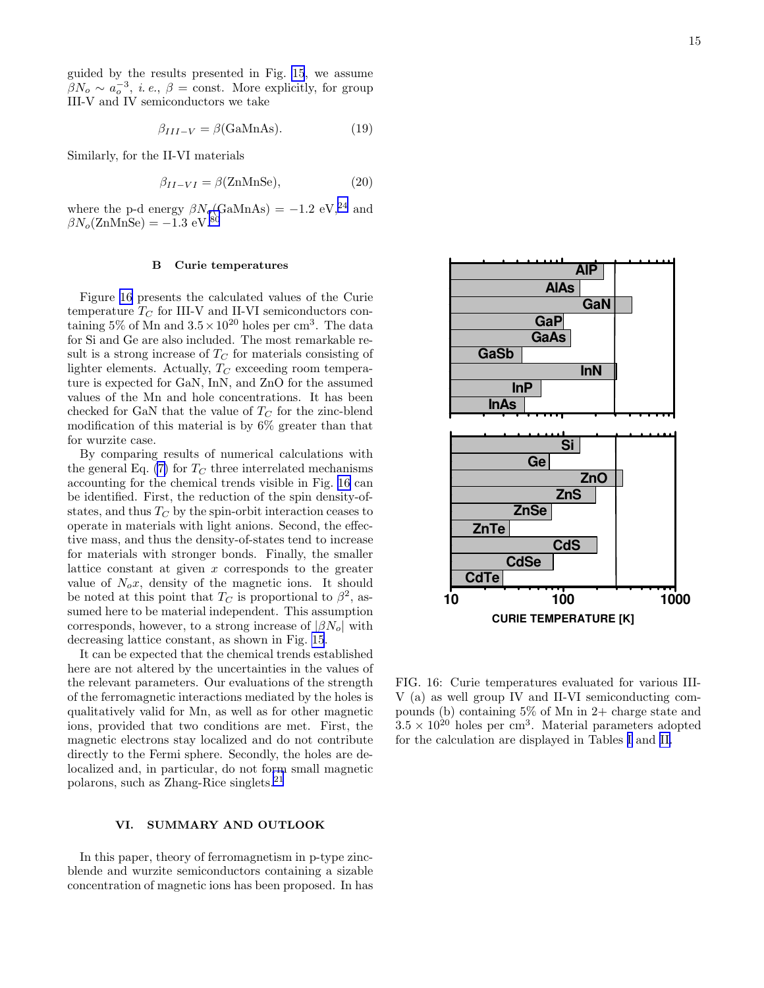<span id="page-14-0"></span>guided by the results presented in Fig. [15](#page-13-0), we assume  $\beta N_o \sim a_o^{-3}$ , *i. e.*,  $\beta$  = const. More explicitly, for group III-V and IV semiconductors we take

$$
\beta_{III-V} = \beta \text{(GaMnAs)}.
$$
 (19)

Similarly, for the II-VI materials

$$
\beta_{II-VI} = \beta(\text{ZnMnSe}),\tag{20}
$$

where the p-d energy  $\beta N_o(\text{GaMnAs}) = -1.2 \text{ eV}^{24}$  $\beta N_o(\text{GaMnAs}) = -1.2 \text{ eV}^{24}$  $\beta N_o(\text{GaMnAs}) = -1.2 \text{ eV}^{24}$  and  $\beta N_o(\text{ZnMnSe}) = -1.3 \text{ eV}^{80}$  $\beta N_o(\text{ZnMnSe}) = -1.3 \text{ eV}^{80}$  $\beta N_o(\text{ZnMnSe}) = -1.3 \text{ eV}^{80}$ 

#### B Curie temperatures

Figure 16 presents the calculated values of the Curie temperature  $T_C$  for III-V and II-VI semiconductors containing  $5\%$  of Mn and  $3.5 \times 10^{20}$  holes per cm<sup>3</sup>. The data for Si and Ge are also included. The most remarkable result is a strong increase of  $T_C$  for materials consisting of lighter elements. Actually,  $T_C$  exceeding room temperature is expected for GaN, InN, and ZnO for the assumed values of the Mn and hole concentrations. It has been checked for GaN that the value of  $T_C$  for the zinc-blend modification of this material is by 6% greater than that for wurzite case.

By comparing results of numerical calculations with the general Eq. [\(7\)](#page-4-0) for  $T_C$  three interrelated mechanisms accounting for the chemical trends visible in Fig. 16 can be identified. First, the reduction of the spin density-ofstates, and thus  $T_C$  by the spin-orbit interaction ceases to operate in materials with light anions. Second, the effective mass, and thus the density-of-states tend to increase for materials with stronger bonds. Finally, the smaller lattice constant at given  $x$  corresponds to the greater value of  $N_o x$ , density of the magnetic ions. It should be noted at this point that  $T_C$  is proportional to  $\beta^2$ , assumed here to be material independent. This assumption corresponds, however, to a strong increase of  $|\beta N_o|$  with decreasing lattice constant, as shown in Fig. [15](#page-13-0).

It can be expected that the chemical trends established here are not altered by the uncertainties in the values of the relevant parameters. Our evaluations of the strength of the ferromagnetic interactions mediated by the holes is qualitatively valid for Mn, as well as for other magnetic ions, provided that two conditions are met. First, the magnetic electrons stay localized and do not contribute directly to the Fermi sphere. Secondly, the holes are delocalized and, in particular, do not form small magnetic polarons, such as Zhang-Rice singlets.[21](#page-22-0)

#### VI. SUMMARY AND OUTLOOK

In this paper, theory of ferromagnetism in p-type zincblende and wurzite semiconductors containing a sizable concentration of magnetic ions has been proposed. In has



FIG. 16: Curie temperatures evaluated for various III-V (a) as well group IV and II-VI semiconducting compounds (b) containing  $5\%$  of Mn in 2+ charge state and  $3.5 \times 10^{20}$  holes per cm<sup>3</sup>. Material parameters adopted for the calculation are displayed in Tables [I](#page-21-0) and [II.](#page-21-0)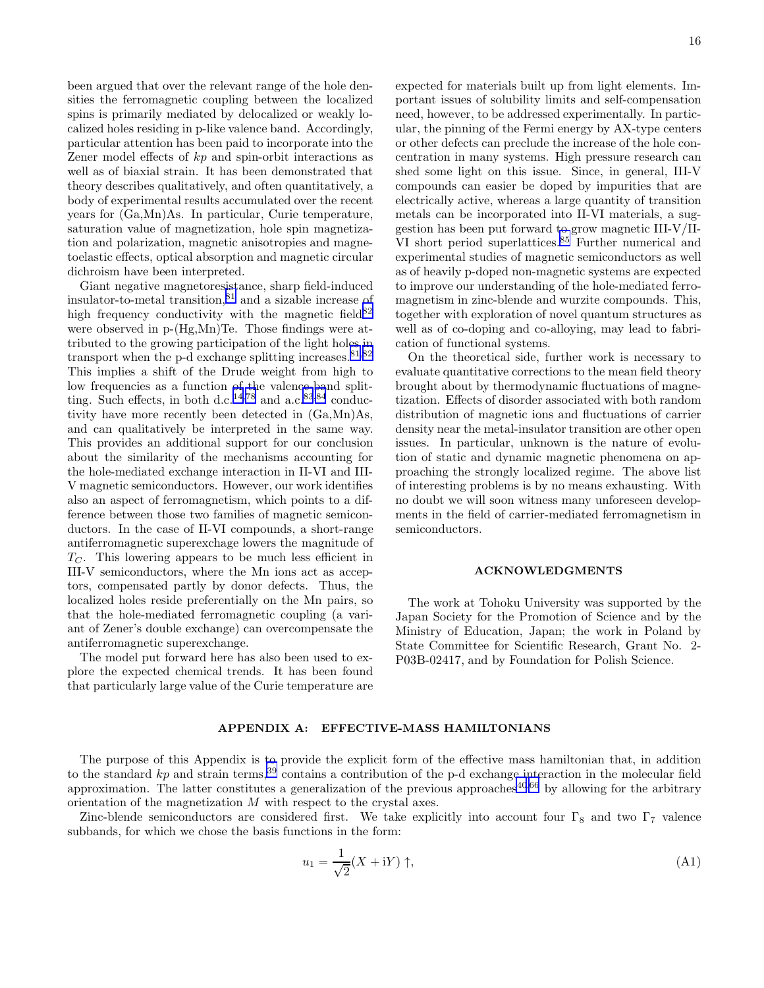been argued that over the relevant range of the hole densities the ferromagnetic coupling between the localized spins is primarily mediated by delocalized or weakly localized holes residing in p-like valence band. Accordingly, particular attention has been paid to incorporate into the Zener model effects of kp and spin-orbit interactions as well as of biaxial strain. It has been demonstrated that theory describes qualitatively, and often quantitatively, a body of experimental results accumulated over the recent years for (Ga,Mn)As. In particular, Curie temperature, saturation value of magnetization, hole spin magnetization and polarization, magnetic anisotropies and magnetoelastic effects, optical absorption and magnetic circular dichroism have been interpreted.

Giant negative magnetoresistance, sharp field-induced insulator-to-metal transition, $81$  and a sizable increase of high frequency conductivity with the magnetic field  $82$ were observed in p-(Hg,Mn)Te. Those findings were attributed to the growing participation of the light holes in transport when the p-d exchange splitting increases.  $81,82$ This implies a shift of the Drude weight from high to low frequencies as a function of the valence-band split-ting. Such effects, in both d.c.<sup>[14,](#page-22-0)[78](#page-23-0)</sup> and a.c.<sup>[83,84](#page-23-0)</sup> conductivity have more recently been detected in (Ga,Mn)As, and can qualitatively be interpreted in the same way. This provides an additional support for our conclusion about the similarity of the mechanisms accounting for the hole-mediated exchange interaction in II-VI and III-V magnetic semiconductors. However, our work identifies also an aspect of ferromagnetism, which points to a difference between those two families of magnetic semiconductors. In the case of II-VI compounds, a short-range antiferromagnetic superexchage lowers the magnitude of  $T<sub>C</sub>$ . This lowering appears to be much less efficient in III-V semiconductors, where the Mn ions act as acceptors, compensated partly by donor defects. Thus, the localized holes reside preferentially on the Mn pairs, so that the hole-mediated ferromagnetic coupling (a variant of Zener's double exchange) can overcompensate the antiferromagnetic superexchange.

The model put forward here has also been used to explore the expected chemical trends. It has been found that particularly large value of the Curie temperature are

expected for materials built up from light elements. Important issues of solubility limits and self-compensation need, however, to be addressed experimentally. In particular, the pinning of the Fermi energy by AX-type centers or other defects can preclude the increase of the hole concentration in many systems. High pressure research can shed some light on this issue. Since, in general, III-V compounds can easier be doped by impurities that are electrically active, whereas a large quantity of transition metals can be incorporated into II-VI materials, a suggestion has been put forward to grow magnetic III-V/II-VI short period superlattices.<sup>[85](#page-23-0)</sup> Further numerical and experimental studies of magnetic semiconductors as well as of heavily p-doped non-magnetic systems are expected to improve our understanding of the hole-mediated ferromagnetism in zinc-blende and wurzite compounds. This, together with exploration of novel quantum structures as well as of co-doping and co-alloying, may lead to fabrication of functional systems.

On the theoretical side, further work is necessary to evaluate quantitative corrections to the mean field theory brought about by thermodynamic fluctuations of magnetization. Effects of disorder associated with both random distribution of magnetic ions and fluctuations of carrier density near the metal-insulator transition are other open issues. In particular, unknown is the nature of evolution of static and dynamic magnetic phenomena on approaching the strongly localized regime. The above list of interesting problems is by no means exhausting. With no doubt we will soon witness many unforeseen developments in the field of carrier-mediated ferromagnetism in semiconductors.

#### ACKNOWLEDGMENTS

The work at Tohoku University was supported by the Japan Society for the Promotion of Science and by the Ministry of Education, Japan; the work in Poland by State Committee for Scientific Research, Grant No. 2- P03B-02417, and by Foundation for Polish Science.

#### APPENDIX A: EFFECTIVE-MASS HAMILTONIANS

The purpose of this Appendix is to provide the explicit form of the effective mass hamiltonian that, in addition to the standard kp and strain terms,<sup>[39](#page-22-0)</sup> contains a contribution of the p-d exchange interaction in the molecular field approximation. The latter constitutes a generalization of the previous approaches $40,66$  $40,66$  by allowing for the arbitrary orientation of the magnetization M with respect to the crystal axes.

Zinc-blende semiconductors are considered first. We take explicitly into account four  $\Gamma_8$  and two  $\Gamma_7$  valence subbands, for which we chose the basis functions in the form:

$$
u_1 = \frac{1}{\sqrt{2}}(X + iY) \uparrow,
$$
\n(A1)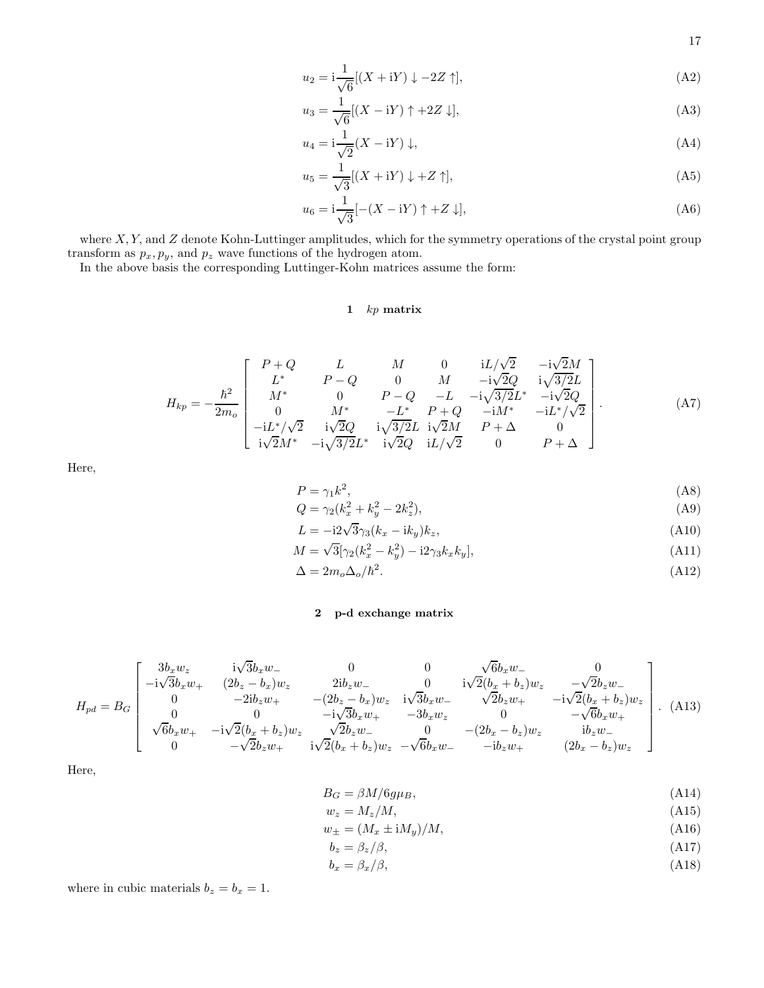17

$$
u_2 = i \frac{1}{\sqrt{6}} [(X + iY) \downarrow -2Z \uparrow], \tag{A2}
$$

$$
u_3 = \frac{1}{\sqrt{6}}[(X - iY) \uparrow + 2Z \downarrow],\tag{A3}
$$

$$
u_4 = \mathbf{i}\frac{1}{\sqrt{2}}(X - \mathbf{i}Y)\downarrow,\tag{A4}
$$

$$
u_5 = \frac{1}{\sqrt{3}}[(X + iY) \downarrow + Z \uparrow],\tag{A5}
$$

$$
u_6 = \mathbf{i}\frac{1}{\sqrt{3}}[-(X - \mathbf{i}Y)\uparrow + Z\downarrow],\tag{A6}
$$

where  $X, Y$ , and  $Z$  denote Kohn-Luttinger amplitudes, which for the symmetry operations of the crystal point group transform as  $p_x, p_y$ , and  $p_z$  wave functions of the hydrogen atom.

In the above basis the corresponding Luttinger-Kohn matrices assume the form:

# 1 kp matrix

$$
H_{kp} = -\frac{\hbar^2}{2m_o} \begin{bmatrix} P+Q & L & M & 0 & iL/\sqrt{2} & -i\sqrt{2}M \\ L^* & P-Q & 0 & M & -i\sqrt{2}Q & i\sqrt{3}/2L \\ M^* & 0 & P-Q & -L & -i\sqrt{3}/2L^* & -i\sqrt{2}Q \\ 0 & M^* & -L^* & P+Q & -iM^* & -iL^*/\sqrt{2} \\ -iL^*/\sqrt{2} & i\sqrt{2}Q & i\sqrt{3}/2L & i\sqrt{2}M & P+\Delta & 0 \\ i\sqrt{2}M^* & -i\sqrt{3}/2L^* & i\sqrt{2}Q & iL/\sqrt{2} & 0 & P+\Delta \end{bmatrix} .
$$
(A7)

Here,

$$
P = \gamma_1 k^2,\tag{A8}
$$

$$
Q = \gamma_2 (k_x^2 + k_y^2 - 2k_z^2), \tag{A9}
$$

$$
L = -i2\sqrt{3}\gamma_3(k_x - ik_y)k_z,\tag{A10}
$$

$$
M = \sqrt{3}[\gamma_2(k_x^2 - k_y^2) - i2\gamma_3 k_x k_y],
$$
\n(A11)

 $\Delta = 2m_o\Delta_o/\hbar^2$ .  $(A12)$ 

# 2 p-d exchange matrix

$$
H_{pd} = B_G \begin{bmatrix} 3b_xw_z & i\sqrt{3}b_xw_- & 0 & 0 & \sqrt{6}b_xw_- & 0 \\ -i\sqrt{3}b_xw_+ & (2b_z - b_x)w_z & 2ib_zw_- & 0 & i\sqrt{2}(b_x + b_z)w_z & -\sqrt{2}b_zw_- \\ 0 & -2ib_zw_+ & -(2b_z - b_x)w_z & i\sqrt{3}b_xw_- & \sqrt{2}b_zw_+ & -i\sqrt{2}(b_x + b_z)w_z \\ 0 & 0 & -i\sqrt{3}b_xw_+ & -3b_xw_z & 0 & -\sqrt{6}b_xw_+ \\ \sqrt{6}b_xw_+ & -i\sqrt{2}(b_x + b_z)w_z & \sqrt{2}b_zw_- & 0 & -(2b_x - b_z)w_z & ib_zw_- \\ 0 & -\sqrt{2}b_zw_+ & i\sqrt{2}(b_x + b_z)w_z & -\sqrt{6}b_xw_- & -ib_zw_+ & (2b_x - b_z)w_z \end{bmatrix} .
$$
(A13)

Here,

$$
B_G = \beta M / 6g\mu_B,\tag{A14}
$$

$$
w_z = M_z/M,\tag{A15}
$$

$$
w_{\pm} = (M_x \pm iM_y)/M,\tag{A16}
$$

$$
b_z = \beta_z/\beta,\tag{A17}
$$

$$
b_x = \beta_x / \beta,\tag{A18}
$$

where in cubic materials  $b_z = b_x = 1$ .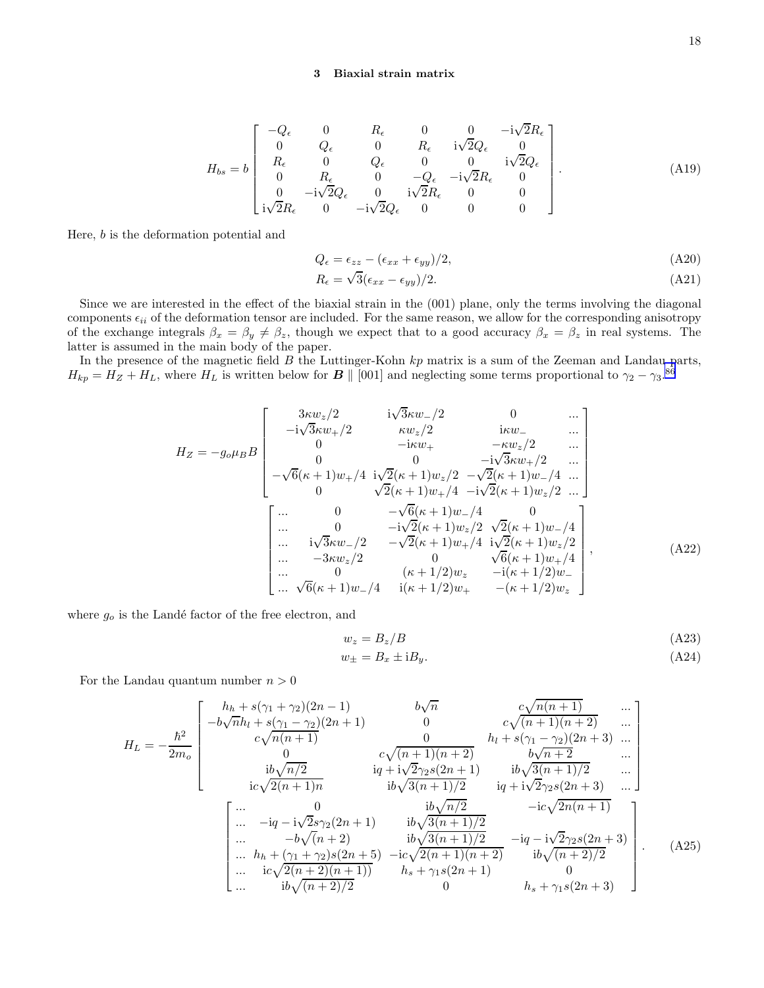## 3 Biaxial strain matrix

$$
H_{bs} = b \begin{bmatrix} -Q_{\epsilon} & 0 & R_{\epsilon} & 0 & 0 & -i\sqrt{2}R_{\epsilon} \\ 0 & Q_{\epsilon} & 0 & R_{\epsilon} & i\sqrt{2}Q_{\epsilon} & 0 \\ R_{\epsilon} & 0 & Q_{\epsilon} & 0 & 0 & i\sqrt{2}Q_{\epsilon} \\ 0 & R_{\epsilon} & 0 & -Q_{\epsilon} & -i\sqrt{2}R_{\epsilon} & 0 \\ 0 & -i\sqrt{2}Q_{\epsilon} & 0 & i\sqrt{2}R_{\epsilon} & 0 & 0 \\ i\sqrt{2}R_{\epsilon} & 0 & -i\sqrt{2}Q_{\epsilon} & 0 & 0 & 0 \end{bmatrix} .
$$
 (A19)

Here, b is the deformation potential and

$$
Q_{\epsilon} = \epsilon_{zz} - (\epsilon_{xx} + \epsilon_{yy})/2, \tag{A20}
$$

$$
R_{\epsilon} = \sqrt{3}(\epsilon_{xx} - \epsilon_{yy})/2. \tag{A21}
$$

Since we are interested in the effect of the biaxial strain in the (001) plane, only the terms involving the diagonal components  $\epsilon_{ii}$  of the deformation tensor are included. For the same reason, we allow for the corresponding anisotropy of the exchange integrals  $\beta_x = \beta_y \neq \beta_z$ , though we expect that to a good accuracy  $\beta_x = \beta_z$  in real systems. The latter is assumed in the main body of the paper.

In the presence of the magnetic field  $B$  the Luttinger-Kohn  $kp$  matrix is a sum of the Zeeman and Landau parts,  $H_{kp} = H_Z + H_L$ , where  $H_L$  is written below for  $\boldsymbol{B} \parallel [001]$  and neglecting some terms proportional to  $\gamma_2 - \gamma_3$ .<sup>[86](#page-23-0)</sup>

$$
H_Z = -g_o \mu_B B \begin{bmatrix} 3\kappa w_z/2 & i\sqrt{3}\kappa w_-/2 & 0 & \dots \\ -i\sqrt{3}\kappa w_+/2 & \kappa w_z/2 & i\kappa w_- & \dots \\ 0 & -i\kappa w_+ & -\kappa w_z/2 & \dots \\ 0 & 0 & -i\sqrt{3}\kappa w_+/2 & \dots \\ -\sqrt{6}(\kappa+1)w_+/4 & i\sqrt{2}(\kappa+1)w_z/2 & -\sqrt{2}(\kappa+1)w_-/4 & \dots \\ 0 & \sqrt{2}(\kappa+1)w_+/4 & -i\sqrt{2}(\kappa+1)w_z/2 & \dots \end{bmatrix}
$$
  
\n
$$
\begin{bmatrix} \dots & 0 & -\sqrt{6}(\kappa+1)w_-/4 & 0 \\ \dots & 0 & -i\sqrt{2}(\kappa+1)w_-/4 & 0 \\ \dots & 0 & -i\sqrt{2}(\kappa+1)w_z/2 & \sqrt{2}(\kappa+1)w_z/2 \\ \dots & -3\kappa w_z/2 & 0 & \sqrt{6}(\kappa+1)w_+/4 \\ \dots & 0 & (\kappa+1/2)w_z & -i(\kappa+1/2)w_- \\ \dots & \sqrt{6}(\kappa+1)w_-/4 & i(\kappa+1/2)w_+ & -(\kappa+1/2)w_z \end{bmatrix},
$$
(A22)

where  $g_o$  is the Landé factor of the free electron, and

$$
w_z = B_z/B
$$
(A23)  

$$
w_{\pm} = B_x \pm iB_y.
$$
(A24)

For the Landau quantum number  $n > 0$ 

$$
H_{L} = -\frac{\hbar^{2}}{2m_{o}} \begin{bmatrix} h_{h} + s(\gamma_{1} + \gamma_{2})(2n - 1) & b\sqrt{n} & c\sqrt{n(n + 1)} & \cdots \\ -b\sqrt{n}h_{l} + s(\gamma_{1} - \gamma_{2})(2n + 1) & 0 & c\sqrt{(n + 1)(n + 2)} & \cdots \\ c\sqrt{n(n + 1)} & 0 & h_{l} + s(\gamma_{1} - \gamma_{2})(2n + 3) & \cdots \\ 0 & c\sqrt{(n + 1)(n + 2)} & b\sqrt{n + 2} & \cdots \\ i\alpha\sqrt{2(n + 1)n} & i\alpha\sqrt{3(n + 1)/2} & i\alpha\sqrt{3(n + 1)/2} & \cdots \\ \cdots & -i\alpha - i\sqrt{2}s\gamma_{2}(2n + 1) & i\alpha\sqrt{3(n + 1)/2} & -i\alpha\sqrt{2n(n + 1)} \\ \cdots & -i\alpha - i\sqrt{2}s\gamma_{2}(2n + 1) & i\alpha\sqrt{3(n + 1)/2} & -i\alpha\sqrt{2n(n + 1)} \\ \cdots & -b\sqrt{(n + 2)} & i\alpha\sqrt{3(n + 1)/2} & -i\alpha - i\sqrt{2}\gamma_{2}s(2n + 3) \\ \cdots & h_{h} + (\gamma_{1} + \gamma_{2})s(2n + 5) & -i\alpha\sqrt{2(n + 1)(n + 2)} & i\alpha\sqrt{(n + 2)/2} \\ \cdots & i\alpha\sqrt{2(n + 2)(n + 1)} & h_{s} + \gamma_{1}s(2n + 1) & 0 \\ \cdots & i\alpha\sqrt{(n + 2)/2} & 0 & h_{s} + \gamma_{1}s(2n + 3) \end{bmatrix} .
$$
 (A25)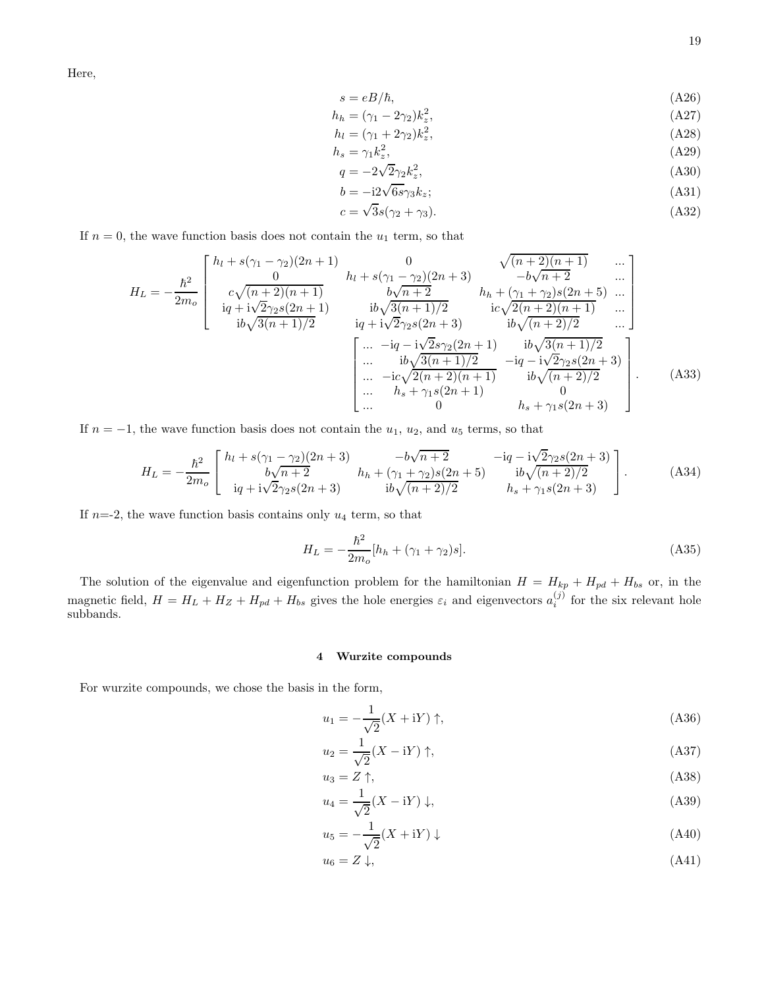Here,

$$
s = eB/\hbar,\tag{A26}
$$

$$
h_h = (\gamma_1 - 2\gamma_2)k_z^2,\tag{A27}
$$

$$
h_l = (\gamma_1 + 2\gamma_2)k_z^2,\tag{A28}
$$

$$
h_s = \gamma_1 k_z^2,
$$
  
\n
$$
q = -2\sqrt{2}\gamma_2 k_z^2,
$$
\n(A29)  
\n(A30)

$$
b = -i2\sqrt{6s}\gamma_3 k_z;
$$
\n(A31)

$$
c = \sqrt{3}s(\gamma_2 + \gamma_3). \tag{A32}
$$

If  $n = 0$ , the wave function basis does not contain the  $u_1$  term, so that

$$
H_{L} = -\frac{\hbar^{2}}{2m_{o}} \begin{bmatrix} h_{l} + s(\gamma_{1} - \gamma_{2})(2n+1) & 0 & \sqrt{(n+2)(n+1)} & \cdots \\ 0 & h_{l} + s(\gamma_{1} - \gamma_{2})(2n+3) & -b\sqrt{n+2} & \cdots \\ 0 & 0 & 0 & h_{r} + \gamma_{2} & \cdots \\ 0 & 0 & 0 & 0 & 0 \\ 0 & 0 & 0 & 0 & 0 \\ 0 & 0 & 0 & 0 & 0 \end{bmatrix}
$$
  
\n
$$
H_{L} = -\frac{\hbar^{2}}{2m_{o}} \begin{bmatrix} 0 & 0 & \sqrt{(n+2)(n+1)} & \cdots \\ 0 & 0 & 0 & -b\sqrt{n+2} & \cdots \\ 0 & 0 & 0 & 0 & 0 \\ 0 & 0 & 0 & 0 & 0 \\ 0 & 0 & 0 & 0 & 0 \\ 0 & 0 & 0 & 0 & 0 \end{bmatrix}
$$
  
\n
$$
= \begin{bmatrix} 0 & 0 & \sqrt{(n+2)(n+1)} & \cdots \\ 0 & 0 & 0 & 0 \\ 0 & 0 & 0 & 0 \\ 0 & 0 & 0 & 0 \end{bmatrix}
$$
  
\n
$$
= \begin{bmatrix} 0 & 0 & \sqrt{(n+2)(n+1)} & \cdots \\ 0 & 0 & 0 & 0 \\ 0 & 0 & 0 & 0 \\ 0 & 0 & 0 & 0 \end{bmatrix}
$$
  
\n
$$
= \begin{bmatrix} 0 & 0 & \sqrt{(n+2)(n+1)} & \cdots \\ 0 & 0 & 0 & 0 \\ 0 & 0 & 0 & 0 \\ 0 & 0 & 0 & 0 \end{bmatrix} . \qquad (A33)
$$

If  $n = -1$ , the wave function basis does not contain the  $u_1$ ,  $u_2$ , and  $u_5$  terms, so that

$$
H_L = -\frac{\hbar^2}{2m_o} \begin{bmatrix} h_l + s(\gamma_1 - \gamma_2)(2n+3) & -b\sqrt{n+2} & -iq - i\sqrt{2}\gamma_2 s(2n+3) \\ b\sqrt{n+2} & h_h + (\gamma_1 + \gamma_2)s(2n+5) & i b\sqrt{(n+2)/2} \\ iq + i\sqrt{2}\gamma_2 s(2n+3) & i b\sqrt{(n+2)/2} & h_s + \gamma_1 s(2n+3) \end{bmatrix}.
$$
 (A34)

If  $n=2$ , the wave function basis contains only  $u_4$  term, so that

$$
H_L = -\frac{\hbar^2}{2m_o} [h_h + (\gamma_1 + \gamma_2)s].
$$
\n(A35)

The solution of the eigenvalue and eigenfunction problem for the hamiltonian  $H = H_{kp} + H_{pd} + H_{bs}$  or, in the magnetic field,  $H = H_L + H_Z + H_{bd} + H_{bs}$  gives the hole energies  $\varepsilon_i$  and eigenvectors  $a_i^{(j)}$  for the six relevant hole subbands.

## 4 Wurzite compounds

For wurzite compounds, we chose the basis in the form,

$$
u_1 = -\frac{1}{\sqrt{2}}(X + iY) \uparrow,
$$
\n(A36)

$$
u_2 = \frac{1}{\sqrt{2}}(X - iY) \uparrow,
$$
\n(A37)

$$
u_3 = Z \uparrow, \tag{A38}
$$
  

$$
u_4 = \frac{1}{\sqrt{2}} (X - iY) \downarrow, \tag{A39}
$$

$$
u_5 = -\frac{1}{\sqrt{2}}(X + iY) \downarrow \tag{A40}
$$

$$
u_6 = Z \downarrow, \tag{A41}
$$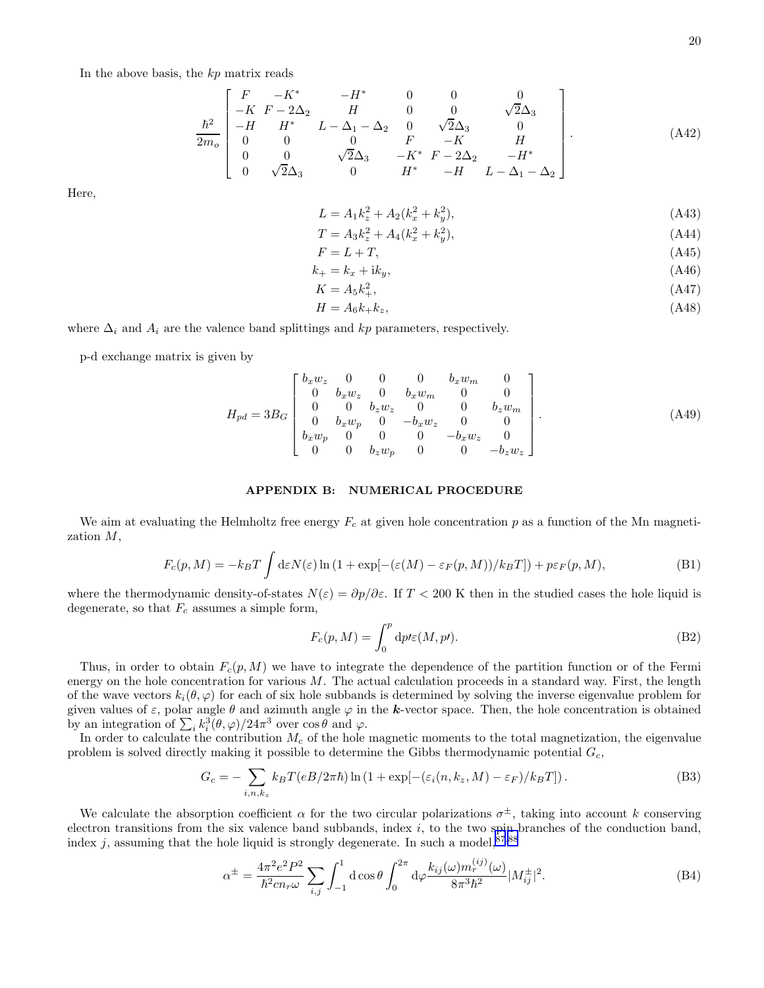In the above basis, the  $kp$  matrix reads

$$
\frac{\hbar^2}{2m_o} \begin{bmatrix} F & -K^* & -H^* & 0 & 0 & 0 \\ -K & F - 2\Delta_2 & H & 0 & 0 & \sqrt{2}\Delta_3 \\ -H & H^* & L - \Delta_1 - \Delta_2 & 0 & \sqrt{2}\Delta_3 & 0 \\ 0 & 0 & 0 & F & -K & H \\ 0 & 0 & \sqrt{2}\Delta_3 & -K^* & F - 2\Delta_2 & -H^* \\ 0 & \sqrt{2}\Delta_3 & 0 & H^* & -H & L - \Delta_1 - \Delta_2 \end{bmatrix} .
$$
\n(A42)

Here,

$$
L = A_1 k_z^2 + A_2 (k_x^2 + k_y^2), \tag{A43}
$$

$$
T = A_3 k_z^2 + A_4 (k_x^2 + k_y^2), \tag{A44}
$$

$$
F = L + T,\tag{A45}
$$

$$
k_{+} = k_{x} + \mathrm{i}k_{y},\tag{A46}
$$

$$
K = A_5 k_+^2,\tag{A47}
$$

$$
H = A_6 k_+ k_z,\tag{A48}
$$

where  $\Delta_i$  and  $A_i$  are the valence band splittings and kp parameters, respectively.

p-d exchange matrix is given by

$$
H_{pd} = 3B_G \begin{bmatrix} b_x w_z & 0 & 0 & 0 & b_x w_m & 0 \\ 0 & b_x w_z & 0 & b_x w_m & 0 & 0 \\ 0 & 0 & b_z w_z & 0 & 0 & b_z w_m \\ 0 & b_x w_p & 0 & -b_x w_z & 0 & 0 \\ b_x w_p & 0 & 0 & 0 & -b_x w_z & 0 \\ 0 & 0 & b_z w_p & 0 & 0 & -b_z w_z \end{bmatrix} .
$$
 (A49)

## APPENDIX B: NUMERICAL PROCEDURE

We aim at evaluating the Helmholtz free energy  $F_c$  at given hole concentration p as a function of the Mn magnetization M,

$$
F_c(p,M) = -k_B T \int d\varepsilon N(\varepsilon) \ln\left(1 + \exp[-(\varepsilon(M) - \varepsilon_F(p,M))/k_B T]\right) + p\varepsilon_F(p,M),\tag{B1}
$$

where the thermodynamic density-of-states  $N(\varepsilon) = \partial p/\partial \varepsilon$ . If  $T < 200$  K then in the studied cases the hole liquid is degenerate, so that  $F_c$  assumes a simple form,

$$
F_c(p, M) = \int_0^p \mathrm{d}p \prime \varepsilon(M, p \prime). \tag{B2}
$$

Thus, in order to obtain  $F_c(p, M)$  we have to integrate the dependence of the partition function or of the Fermi energy on the hole concentration for various  $M$ . The actual calculation proceeds in a standard way. First, the length of the wave vectors  $k_i(\theta, \varphi)$  for each of six hole subbands is determined by solving the inverse eigenvalue problem for given values of  $\varepsilon$ , polar angle  $\theta$  and azimuth angle  $\varphi$  in the **k**-vector space. Then, the hole concentration is obtained by an integration of  $\sum_i k_i^3(\theta, \varphi)/24\pi^3$  over  $\cos \theta$  and  $\varphi$ .

In order to calculate the contribution  $M_c$  of the hole magnetic moments to the total magnetization, the eigenvalue problem is solved directly making it possible to determine the Gibbs thermodynamic potential  $G_c$ ,

$$
G_c = -\sum_{i,n,k_z} k_B T(eB/2\pi\hbar) \ln\left(1 + \exp[-(\varepsilon_i(n,k_z,M) - \varepsilon_F)/k_B T]\right). \tag{B3}
$$

We calculate the absorption coefficient  $\alpha$  for the two circular polarizations  $\sigma^{\pm}$ , taking into account k conserving electron transitions from the six valence band subbands, index  $i$ , to the two spin branches of the conduction band, index j, assuming that the hole liquid is strongly degenerate. In such a model,  $87,88$ 

$$
\alpha^{\pm} = \frac{4\pi^2 e^2 P^2}{\hbar^2 c n_r \omega} \sum_{i,j} \int_{-1}^1 \mathrm{d}\cos\theta \int_0^{2\pi} \mathrm{d}\varphi \frac{k_{ij}(\omega) m_r^{(ij)}(\omega)}{8\pi^3 \hbar^2} |M_{ij}^{\pm}|^2. \tag{B4}
$$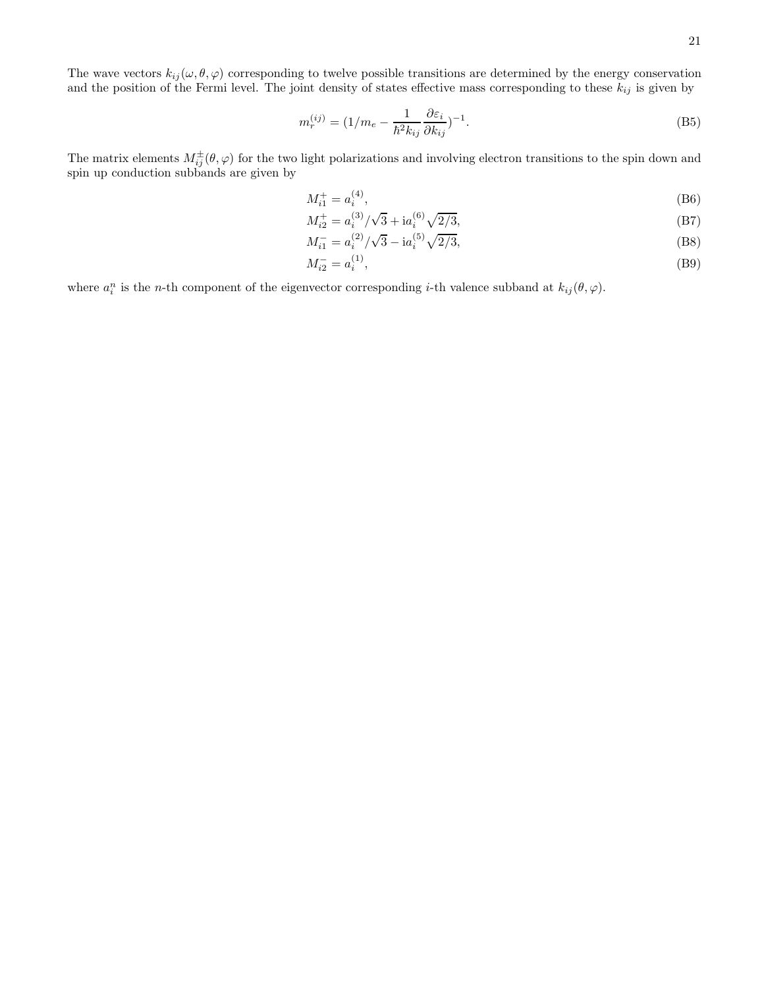The wave vectors  $k_{ij}(\omega,\theta,\varphi)$  corresponding to twelve possible transitions are determined by the energy conservation and the position of the Fermi level. The joint density of states effective mass corresponding to these  $k_{ij}$  is given by

$$
m_r^{(ij)} = (1/m_e - \frac{1}{\hbar^2 k_{ij}} \frac{\partial \varepsilon_i}{\partial k_{ij}})^{-1}.
$$
 (B5)

The matrix elements  $M_{ij}^{\pm}(\theta,\varphi)$  for the two light polarizations and involving electron transitions to the spin down and spin up conduction subbands are given by

$$
M_{i1}^+ = a_i^{(4)},\tag{B6}
$$

$$
M_{i2}^{+} = a_i^{(3)}/\sqrt{3} + \mathrm{i}a_i^{(6)}\sqrt{2/3},\tag{B7}
$$

$$
M_{i1}^- = a_i^{(2)} / \sqrt{3} - \mathrm{i} a_i^{(5)} \sqrt{2/3},\tag{B8}
$$

$$
M_{i2}^- = a_i^{(1)},\tag{B9}
$$

where  $a_i^n$  is the *n*-th component of the eigenvector corresponding *i*-th valence subband at  $k_{ij}(\theta, \varphi)$ .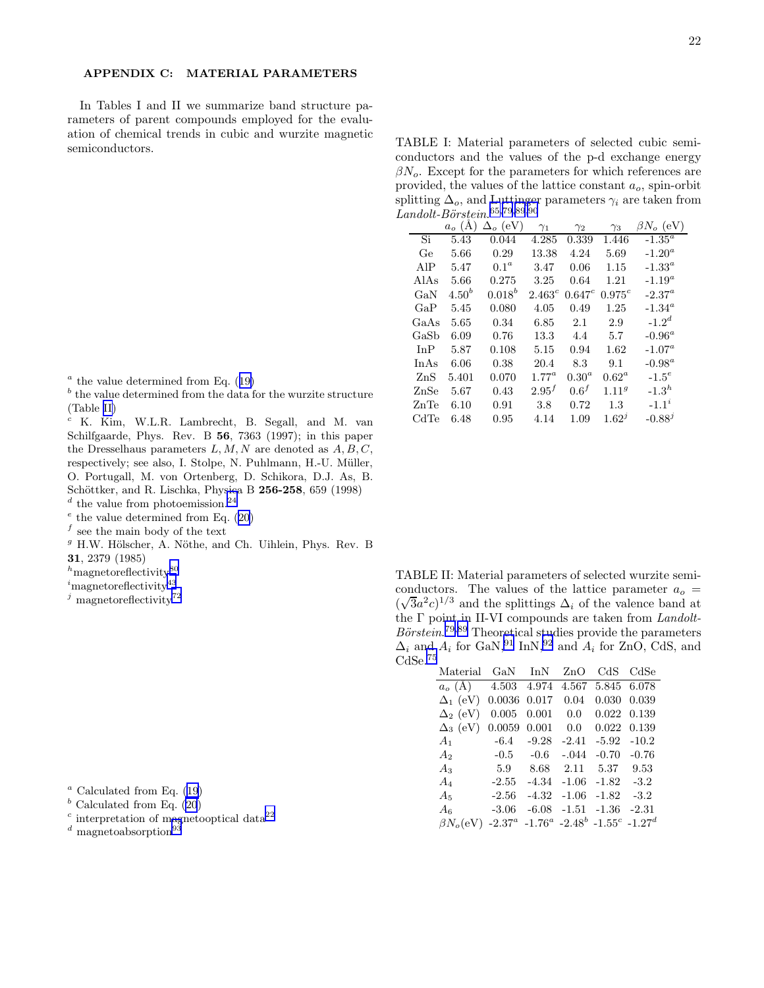## <span id="page-21-0"></span>APPENDIX C: MATERIAL PARAMETERS

In Tables I and II we summarize band structure parameters of parent compounds employed for the evaluation of chemical trends in cubic and wurzite magnetic semiconductors.

TABLE I: Material parameters of selected cubic semiconductors and the values of the p-d exchange energy  $\beta N_o$ . Except for the parameters for which references are provided, the values of the lattice constant  $a<sub>o</sub>$ , spin-orbit splitting  $\Delta_o$ , and Luttinger parameters  $\gamma_i$  are taken from  $Landolt-Börsțein. <sup>65,79,89,90</sup>$  $Landolt-Börsțein. <sup>65,79,89,90</sup>$  $Landolt-Börsțein. <sup>65,79,89,90</sup>$ 

|      | $a_o(A)$   | $\Delta_o$ (eV)  | $\gamma_1$  | $\gamma_2$       | $\gamma_3$        | $\beta N_o~{\rm (eV)}$ |
|------|------------|------------------|-------------|------------------|-------------------|------------------------|
| Si   | 5.43       | 0.044            | 4.285       | 0.339            | 1.446             | $-1.35^{\circ}$        |
| Ge   | 5.66       | 0.29             | 13.38       | 4.24             | 5.69              | $-1.20^a$              |
| AIP  | 5.47       | 0.1 <sup>a</sup> | 3.47        | 0.06             | 1.15              | $-1.33^{\circ}$        |
| AlAs | 5.66       | 0.275            | 3.25        | 0.64             | 1.21              | $-1.19^a$              |
| GaN  | $4.50^{b}$ | $0.018^{b}$      | $2.463^{c}$ | $0.647^{c}$      | $0.975^{c}$       | $-2.37^a$              |
| GaP  | 5.45       | 0.080            | 4.05        | 0.49             | 1.25              | $-1.34^{\circ}$        |
| GaAs | 5.65       | 0.34             | 6.85        | 2.1              | 2.9               | $-1.2d$                |
| GaSb | 6.09       | 0.76             | 13.3        | 4.4              | 5.7               | $-0.96^a$              |
| InP  | 5.87       | 0.108            | 5.15        | 0.94             | 1.62              | $-1.07^a$              |
| InAs | 6.06       | 0.38             | 20.4        | 8.3              | 9.1               | $-0.98^a$              |
| ZnS  | 5.401      | 0.070            | $1.77^a$    | $0.30^a$         | $0.62^a$          | $-1.5^e$               |
| ZnSe | 5.67       | 0.43             | $2.95^{f}$  | 0.6 <sup>f</sup> | 1.11 <sup>g</sup> | $-1.3h$                |
| ZnTe | 6.10       | 0.91             | 3.8         | 0.72             | 1.3               | $-1.1^{i}$             |
| CdTe | 6.48       | 0.95             | 4.14        | 1.09             | $1.62^{j}$        | $-0.88^{j}$            |
|      |            |                  |             |                  |                   |                        |

- $a$ the value determined from Eq.  $(19)$  $(19)$
- $b<sup>b</sup>$  the value determined from the data for the wurzite structure (Table II)

<sup>c</sup> K. Kim, W.L.R. Lambrecht, B. Segall, and M. van Schilfgaarde, Phys. Rev. B 56, 7363 (1997); in this paper the Dresselhaus parameters  $L, M, N$  are denoted as  $A, B, C$ , respectively; see also, I. Stolpe, N. Puhlmann, H.-U. Müller, O. Portugall, M. von Ortenberg, D. Schikora, D.J. As, B. Schöttker, and R. Lischka, Physica B 256-258, 659 (1998)

 $d$  the value from photoemission.<sup>[24](#page-22-0)</sup>

- $^e$  the value determined from Eq. [\(20](#page-14-0))
- $f$  see the main body of the text
- $9$  H.W. Hölscher, A. Nöthe, and Ch. Uihlein, Phys. Rev. B 31, 2379 (1985)
- $^h\rm{magnetoreflectivity}^{80}$  $^h\rm{magnetoreflectivity}^{80}$  $^h\rm{magnetoreflectivity}^{80}$
- $i$ magnetoreflectivity<sup>[43](#page-22-0)</sup>
- $j$  magnetoreflectivity<sup>[72](#page-23-0)</sup>

- $a$ Calculated from Eq. ([19](#page-14-0))
- $<sup>b</sup>$  Calculated from Eq. [\(20](#page-14-0))</sup>
- $\frac{c}{c}$  interpretation of magnetooptical data<sup>[22](#page-22-0)</sup>
- $d$  magnetoabsorption<sup>[93](#page-24-0)</sup>

TABLE II: Material parameters of selected wurzite semiconductors. The values of the lattice parameter  $a<sub>o</sub>$  =  $(\sqrt{3}a^2c)^{1/3}$  and the splittings  $\Delta_i$  of the valence band at the Γ point in II-VI compounds are taken from Landolt- $B\ddot{o}rstein.$ <sup>[79,89](#page-23-0)</sup> Theoretical studies provide the parameters  $\Delta_i$  and  $A_i$  for GaN,<sup>[91](#page-23-0)</sup> InN,<sup>[92](#page-24-0)</sup> and  $A_i$  for ZnO, CdS, and CdSe.[75](#page-23-0)

| Material                                        |                                                   | GaN InN ZnO |              |                                | CdS CdSe      |
|-------------------------------------------------|---------------------------------------------------|-------------|--------------|--------------------------------|---------------|
| $a_o$ (Å) $4.503$ $4.974$ $4.567$ $5.845$ 6.078 |                                                   |             |              |                                |               |
| $\Delta_1$ (eV)                                 | 0.0036                                            |             | $0.017$ 0.04 |                                | 0.030 0.039   |
| $\Delta_2$ (eV)                                 | 0.005                                             |             | $0.001$ 0.0  |                                | 0.022 0.139   |
| $\Delta_3$ (eV)                                 | 0.0059                                            |             | $0.001$ 0.0  |                                | 0.022 0.139   |
| $A_1$ -6.4 -9.28                                |                                                   |             |              | $-2.41$ $-5.92$ $-10.2$        |               |
| $A_2$ -0.5 -0.6 -.044                           |                                                   |             |              |                                | $-0.70 -0.76$ |
| $A_3$ 5.9 8.68 2.11                             |                                                   |             |              | 5.37 9.53                      |               |
| $A_4$                                           | $-2.55$                                           |             |              | $-4.34$ $-1.06$ $-1.82$ $-3.2$ |               |
| $A_5$                                           | $-2.56$                                           |             |              | $-4.32$ $-1.06$ $-1.82$        | $-3.2$        |
| $A_6$                                           | $-3.06$                                           |             |              | $-6.08$ $-1.51$ $-1.36$        | $-2.31$       |
| $\beta N_o(eV)$                                 | $-2.37^a$ $-1.76^a$ $-2.48^b$ $-1.55^c$ $-1.27^d$ |             |              |                                |               |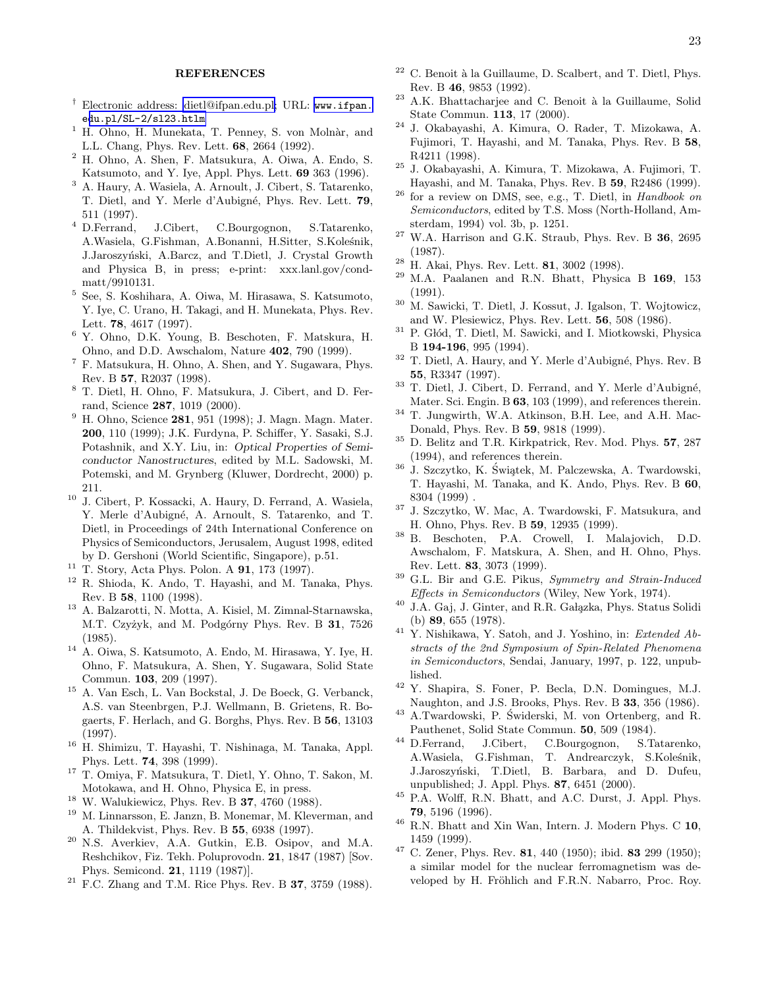## REFERENCES

- <span id="page-22-0"></span>† Electronic address: [dietl@ifpan.edu.pl;](mailto:dietl@ifpan.edu.pl) URL: [www.ifpan.](www.ifpan.edu.pl/SL-2/sl23.htlm) e[du.pl/SL-2/sl23.htlm](www.ifpan.edu.pl/SL-2/sl23.htlm)
- $1$  H. Ohno, H. Munekata, T. Penney, S. von Molnàr, and L.L. Chang, Phys. Rev. Lett. 68, 2664 (1992).
- <sup>2</sup> H. Ohno, A. Shen, F. Matsukura, A. Oiwa, A. Endo, S. Katsumoto, and Y. Iye, Appl. Phys. Lett. 69 363 (1996).
- <sup>3</sup> A. Haury, A. Wasiela, A. Arnoult, J. Cibert, S. Tatarenko, T. Dietl, and Y. Merle d'Aubigné, Phys. Rev. Lett. 79,  $511$  (1997).<br><sup>4</sup> D.Ferrand,
- J.Cibert, C.Bourgognon, S.Tatarenko, A.Wasiela, G.Fishman, A.Bonanni, H.Sitter, S.Koleśnik, J.Jaroszyński, A.Barcz, and T.Dietl, J. Crystal Growth and Physica B, in press; e-print: xxx.lanl.gov/condmatt/9910131.
- 5 See, S. Koshihara, A. Oiwa, M. Hirasawa, S. Katsumoto, Y. Iye, C. Urano, H. Takagi, and H. Munekata, Phys. Rev. Lett. 78, 4617 (1997).
- <sup>6</sup> Y. Ohno, D.K. Young, B. Beschoten, F. Matskura, H. Ohno, and D.D. Awschalom, Nature 402, 790 (1999).
- <sup>7</sup> F. Matsukura, H. Ohno, A. Shen, and Y. Sugawara, Phys. Rev. B 57, R2037 (1998).
- <sup>8</sup> T. Dietl, H. Ohno, F. Matsukura, J. Cibert, and D. Ferrand, Science 287, 1019 (2000).
- <sup>9</sup> H. Ohno, Science 281, 951 (1998); J. Magn. Magn. Mater. 200, 110 (1999); J.K. Furdyna, P. Schiffer, Y. Sasaki, S.J. Potashnik, and X.Y. Liu, in: Optical Properties of Semiconductor Nanostructures, edited by M.L. Sadowski, M. Potemski, and M. Grynberg (Kluwer, Dordrecht, 2000) p. 211.
- <sup>10</sup> J. Cibert, P. Kossacki, A. Haury, D. Ferrand, A. Wasiela, Y. Merle d'Aubigné, A. Arnoult, S. Tatarenko, and T. Dietl, in Proceedings of 24th International Conference on Physics of Semiconductors, Jerusalem, August 1998, edited by D. Gershoni (World Scientific, Singapore), p.51.
- <sup>11</sup> T. Story, Acta Phys. Polon. A 91, 173 (1997).
- <sup>12</sup> R. Shioda, K. Ando, T. Hayashi, and M. Tanaka, Phys. Rev. B 58, 1100 (1998).
- <sup>13</sup> A. Balzarotti, N. Motta, A. Kisiel, M. Zimnal-Starnawska, M.T. Czyżyk, and M. Podgórny Phys. Rev. B 31, 7526 (1985).
- <sup>14</sup> A. Oiwa, S. Katsumoto, A. Endo, M. Hirasawa, Y. Iye, H. Ohno, F. Matsukura, A. Shen, Y. Sugawara, Solid State Commun. 103, 209 (1997).
- <sup>15</sup> A. Van Esch, L. Van Bockstal, J. De Boeck, G. Verbanck, A.S. van Steenbrgen, P.J. Wellmann, B. Grietens, R. Bogaerts, F. Herlach, and G. Borghs, Phys. Rev. B 56, 13103 (1997).
- <sup>16</sup> H. Shimizu, T. Hayashi, T. Nishinaga, M. Tanaka, Appl. Phys. Lett. 74, 398 (1999).
- <sup>17</sup> T. Omiya, F. Matsukura, T. Dietl, Y. Ohno, T. Sakon, M. Motokawa, and H. Ohno, Physica E, in press.
- <sup>18</sup> W. Walukiewicz, Phys. Rev. B 37, 4760 (1988).
- <sup>19</sup> M. Linnarsson, E. Janzn, B. Monemar, M. Kleverman, and A. Thildekvist, Phys. Rev. B 55, 6938 (1997).
- <sup>20</sup> N.S. Averkiev, A.A. Gutkin, E.B. Osipov, and M.A. Reshchikov, Fiz. Tekh. Poluprovodn. 21, 1847 (1987) [Sov. Phys. Semicond. 21, 1119 (1987)].
- $21$  F.C. Zhang and T.M. Rice Phys. Rev. B 37, 3759 (1988).
- $22$  C. Benoit à la Guillaume, D. Scalbert, and T. Dietl, Phys. Rev. B 46, 9853 (1992).
- A.K. Bhattacharjee and C. Benoit à la Guillaume, Solid State Commun. 113, 17 (2000).
- <sup>24</sup> J. Okabayashi, A. Kimura, O. Rader, T. Mizokawa, A. Fujimori, T. Hayashi, and M. Tanaka, Phys. Rev. B 58, R4211 (1998).
- <sup>25</sup> J. Okabayashi, A. Kimura, T. Mizokawa, A. Fujimori, T. Hayashi, and M. Tanaka, Phys. Rev. B 59, R2486 (1999).
- <sup>26</sup> for a review on DMS, see, e.g., T. Dietl, in Handbook on Semiconductors, edited by T.S. Moss (North-Holland, Amsterdam, 1994) vol. 3b, p. 1251.
- $27$  W.A. Harrison and G.K. Straub, Phys. Rev. B 36, 2695 (1987).
- $28$  H. Akai, Phys. Rev. Lett. **81**, 3002 (1998).
- $29$  M.A. Paalanen and R.N. Bhatt, Physica B 169, 153 (1991).
- <sup>30</sup> M. Sawicki, T. Dietl, J. Kossut, J. Igalson, T. Wojtowicz, and W. Plesiewicz, Phys. Rev. Lett. 56, 508 (1986).
- $31$  P. Glód, T. Dietl, M. Sawicki, and I. Miotkowski, Physica B 194-196, 995 (1994).
- $32$  T. Dietl, A. Haury, and Y. Merle d'Aubigné, Phys. Rev. B 55, R3347 (1997).
- $^{33}$  T. Dietl, J. Cibert, D. Ferrand, and Y. Merle d'Aubigné, Mater. Sci. Engin. B 63, 103 (1999), and references therein.
- <sup>34</sup> T. Jungwirth, W.A. Atkinson, B.H. Lee, and A.H. Mac-Donald, Phys. Rev. B 59, 9818 (1999).
- <sup>35</sup> D. Belitz and T.R. Kirkpatrick, Rev. Mod. Phys. 57, 287 (1994), and references therein.
- $^{36}$ J. Szczytko, K. Świątek, M. Palczewska, A. Twardowski, T. Hayashi, M. Tanaka, and K. Ando, Phys. Rev. B 60, 8304 (1999) .
- <sup>37</sup> J. Szczytko, W. Mac, A. Twardowski, F. Matsukura, and H. Ohno, Phys. Rev. B 59, 12935 (1999).
- <sup>38</sup> B. Beschoten, P.A. Crowell, I. Malajovich, D.D. Awschalom, F. Matskura, A. Shen, and H. Ohno, Phys. Rev. Lett. 83, 3073 (1999).
- <sup>39</sup> G.L. Bir and G.E. Pikus, Symmetry and Strain-Induced Effects in Semiconductors (Wiley, New York, 1974).
- <sup>40</sup> J.A. Gaj, J. Ginter, and R.R. Gałązka, Phys. Status Solidi (b) 89, 655 (1978).
- <sup>41</sup> Y. Nishikawa, Y. Satoh, and J. Yoshino, in: Extended Abstracts of the 2nd Symposium of Spin-Related Phenomena in Semiconductors, Sendai, January, 1997, p. 122, unpublished.
- <sup>42</sup> Y. Shapira, S. Foner, P. Becla, D.N. Domingues, M.J. Naughton, and J.S. Brooks, Phys. Rev. B 33, 356 (1986).
- <sup>43</sup> A.Twardowski, P. Swiderski, M. von Ortenberg, and R. ´ Pauthenet, Solid State Commun. 50, 509 (1984).
- <sup>44</sup> D.Ferrand, J.Cibert, C.Bourgognon, S.Tatarenko, A.Wasiela, G.Fishman, T. Andrearczyk, S.Koleśnik, J.Jaroszyński, T.Dietl, B. Barbara, and D. Dufeu, unpublished; J. Appl. Phys. 87, 6451 (2000).
- <sup>45</sup> P.A. Wolff, R.N. Bhatt, and A.C. Durst, J. Appl. Phys. 79, 5196 (1996).
- $^{46}$  R.N. Bhatt and Xin Wan, Intern. J. Modern Phys. C  $\bf{10},$ 1459 (1999).
- $47$  C. Zener, Phys. Rev. 81, 440 (1950); ibid. 83 299 (1950); a similar model for the nuclear ferromagnetism was developed by H. Fröhlich and F.R.N. Nabarro, Proc. Roy.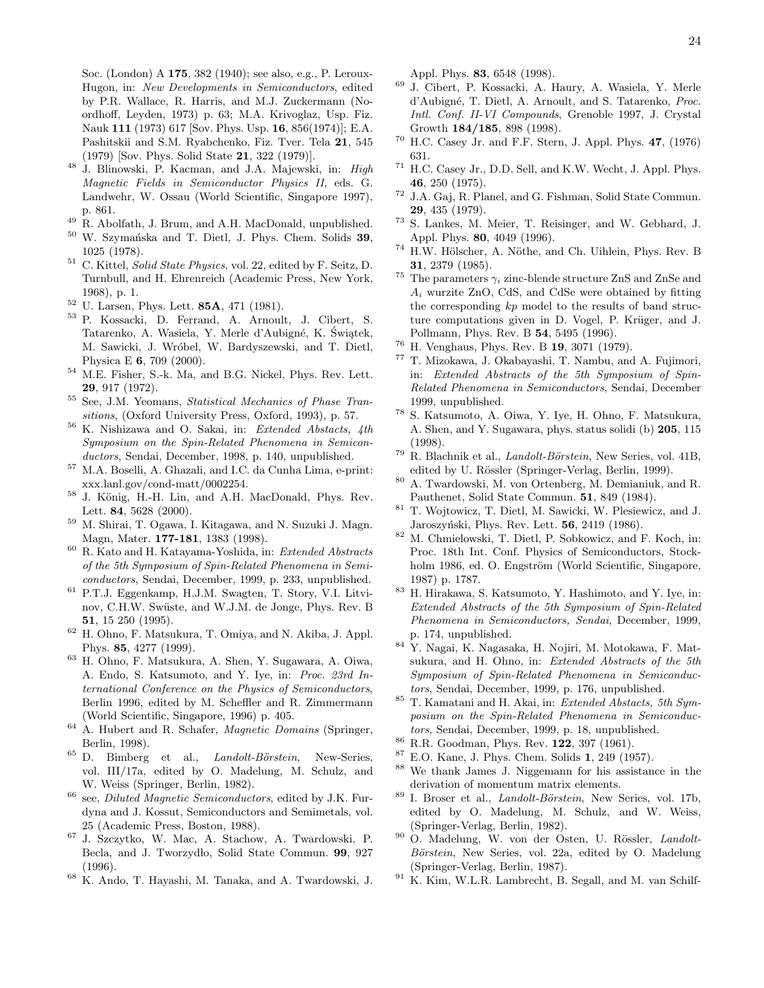<span id="page-23-0"></span>Soc. (London) A 175, 382 (1940); see also, e.g., P. Leroux-Hugon, in: New Developments in Semiconductors, edited by P.R. Wallace, R. Harris, and M.J. Zuckermann (Noordhoff, Leyden, 1973) p. 63; M.A. Krivoglaz, Usp. Fiz. Nauk 111 (1973) 617 [Sov. Phys. Usp. 16, 856(1974)]; E.A. Pashitskii and S.M. Ryabchenko, Fiz. Tver. Tela 21, 545 (1979) [Sov. Phys. Solid State 21, 322 (1979)].

- <sup>48</sup> J. Blinowski, P. Kacman, and J.A. Majewski, in: High Magnetic Fields in Semiconductor Physics II, eds. G. Landwehr, W. Ossau (World Scientific, Singapore 1997), p. 861.
- <sup>49</sup> R. Abolfath, J. Brum, and A.H. MacDonald, unpublished.<br><sup>50</sup> W. Saumangklin and T. Distl. J. Bhys. Cham. Solida **20**
- W. Szymańska and T. Dietl, J. Phys. Chem. Solids 39, 1025 (1978).
- <sup>51</sup> C. Kittel, Solid State Physics, vol. 22, edited by F. Seitz, D. Turnbull, and H. Ehrenreich (Academic Press, New York, 1968), p. 1.
- <sup>52</sup> U. Larsen, Phys. Lett. 85A, 471 (1981).
- <sup>53</sup> P. Kossacki, D. Ferrand, A. Arnoult, J. Cibert, S. Tatarenko, A. Wasiela, Y. Merle d'Aubigné, K. Świątek, M. Sawicki, J. Wróbel, W. Bardyszewski, and T. Dietl, Physica E 6, 709 (2000).
- $^{54}$  M.E. Fisher, S.-k. Ma, and B.G. Nickel, Phys. Rev. Lett. 29, 917 (1972).
- <sup>55</sup> See, J.M. Yeomans, Statistical Mechanics of Phase Transitions, (Oxford University Press, Oxford, 1993), p. 57.
- <sup>56</sup> K. Nishizawa and O. Sakai, in: Extended Abstacts, 4th Symposium on the Spin-Related Phenomena in Semiconductors, Sendai, December, 1998, p. 140, unpublished.
- <sup>57</sup> M.A. Boselli, A. Ghazali, and I.C. da Cunha Lima, e-print: xxx.lanl.gov/cond-matt/0002254.
- <sup>58</sup> J. König, H.-H. Lin, and A.H. MacDonald, Phys. Rev. Lett. 84, 5628 (2000).
- <sup>59</sup> M. Shirai, T. Ogawa, I. Kitagawa, and N. Suzuki J. Magn. Magn, Mater. 177-181, 1383 (1998).
- $^{60}\,$  R. Kato and H. Katayama-Yoshida, in:  $Extended\ Abstracts$ of the 5th Symposium of Spin-Related Phenomena in Semiconductors, Sendai, December, 1999, p. 233, unpublished.
- <sup>61</sup> P.T.J. Eggenkamp, H.J.M. Swagten, T. Story, V.I. Litvinov, C.H.W. Swüste, and W.J.M. de Jonge, Phys. Rev. B 51, 15 250 (1995).
- <sup>62</sup> H. Ohno, F. Matsukura, T. Omiya, and N. Akiba, J. Appl. Phys. 85, 4277 (1999).
- <sup>63</sup> H. Ohno, F. Matsukura, A. Shen, Y. Sugawara, A. Oiwa, A. Endo, S. Katsumoto, and Y. Iye, in: Proc. 23rd International Conference on the Physics of Semiconductors, Berlin 1996, edited by M. Scheffler and R. Zimmermann (World Scientific, Singapore, 1996) p. 405.
- <sup>64</sup> A. Hubert and R. Schafer, *Magnetic Domains* (Springer, Berlin, 1998).
- $65$  D. Bimberg et al., *Landolt-Börstein*, New-Series, vol. III/17a, edited by O. Madelung, M. Schulz, and W. Weiss (Springer, Berlin, 1982).
- $66$  see, *Diluted Magnetic Semiconductors*, edited by J.K. Furdyna and J. Kossut, Semiconductors and Semimetals, vol. 25 (Academic Press, Boston, 1988).
- <sup>67</sup> J. Szczytko, W. Mac, A. Stachow, A. Twardowski, P. Becla, and J. Tworzydło, Solid State Commun. 99, 927 (1996).
- <sup>68</sup> K. Ando, T. Hayashi, M. Tanaka, and A. Twardowski, J.

Appl. Phys. 83, 6548 (1998).

- <sup>69</sup> J. Cibert, P. Kossacki, A. Haury, A. Wasiela, Y. Merle d'Aubigné, T. Dietl, A. Arnoult, and S. Tatarenko, Proc. Intl. Conf. II-VI Compounds, Grenoble 1997, J. Crystal Growth 184/185, 898 (1998).
- $70$  H.C. Casey Jr. and F.F. Stern, J. Appl. Phys. 47, (1976) 631.
- <sup>71</sup> H.C. Casey Jr., D.D. Sell, and K.W. Wecht, J. Appl. Phys. 46, 250 (1975).
- <sup>72</sup> J.A. Gaj, R. Planel, and G. Fishman, Solid State Commun. 29, 435 (1979).
- <sup>73</sup> S. Lankes, M. Meier, T. Reisinger, and W. Gebhard, J. Appl. Phys. 80, 4049 (1996).
- $74$  H.W. Hölscher, A. Nöthe, and Ch. Uihlein, Phys. Rev. B 31, 2379 (1985).
- $^{75}$  The parameters  $\gamma_i$  zinc-blende structure ZnS and ZnSe and  $A_i$  wurzite ZnO, CdS, and CdSe were obtained by fitting the corresponding kp model to the results of band structure computations given in D. Vogel, P. Krüger, and J. Pollmann, Phys. Rev. B 54, 5495 (1996).
- $^{76}$  H. Venghaus, Phys. Rev. B 19, 3071 (1979).<br> $^{77}$  T. Mizokawa, J. Okahayashi, T. Nambu, and
- <sup>77</sup> T. Mizokawa, J. Okabayashi, T. Nambu, and A. Fujimori, in: Extended Abstracts of the 5th Symposium of Spin-Related Phenomena in Semiconductors, Sendai, December 1999, unpublished.
- <sup>78</sup> S. Katsumoto, A. Oiwa, Y. Iye, H. Ohno, F. Matsukura, A. Shen, and Y. Sugawara, phys. status solidi (b) 205, 115 (1998).
- $^{79}$  R. Blachnik et al., *Landolt-Börstein*, New Series, vol. 41B, edited by U. Rössler (Springer-Verlag, Berlin, 1999).
- <sup>80</sup> A. Twardowski, M. von Ortenberg, M. Demianiuk, and R. Pauthenet, Solid State Commun. 51, 849 (1984).
- <sup>81</sup> T. Wojtowicz, T. Dietl, M. Sawicki, W. Plesiewicz, and J. Jaroszyński, Phys. Rev. Lett. **56**, 2419 (1986).
- <sup>82</sup> M. Chmielowski, T. Dietl, P. Sobkowicz, and F. Koch, in: Proc. 18th Int. Conf. Physics of Semiconductors, Stockholm 1986, ed. O. Engström (World Scientific, Singapore, 1987) p. 1787.
- <sup>83</sup> H. Hirakawa, S. Katsumoto, Y. Hashimoto, and Y. Iye, in: Extended Abstracts of the 5th Symposium of Spin-Related Phenomena in Semiconductors, Sendai, December, 1999, p. 174, unpublished.
- <sup>84</sup> Y. Nagai, K. Nagasaka, H. Nojiri, M. Motokawa, F. Matsukura, and H. Ohno, in: Extended Abstracts of the 5th Symposium of Spin-Related Phenomena in Semiconductors, Sendai, December, 1999, p. 176, unpublished.
- $85$  T. Kamatani and H. Akai, in: Extended Abstacts, 5th Symposium on the Spin-Related Phenomena in Semiconductors, Sendai, December, 1999, p. 18, unpublished.
- $^{86}$  R.R. Goodman, Phys. Rev. 122, 397 (1961).<br> $^{87}$  E.O. Kane, J. Phys. Cham. Solids 1, 249 (19
- $^{87}$  E.O. Kane, J. Phys. Chem. Solids 1, 249 (1957).
- We thank James J. Niggemann for his assistance in the derivation of momentum matrix elements.
- <sup>89</sup> I. Broser et al., *Landolt-Börstein*, New Series, vol. 17b, edited by O. Madelung, M. Schulz, and W. Weiss, (Springer-Verlag, Berlin, 1982).
- <sup>90</sup> O. Madelung, W. von der Osten, U. Rössler, Landolt-Börstein, New Series, vol. 22a, edited by O. Madelung (Springer-Verlag, Berlin, 1987).
- <sup>91</sup> K. Kim, W.L.R. Lambrecht, B. Segall, and M. van Schilf-